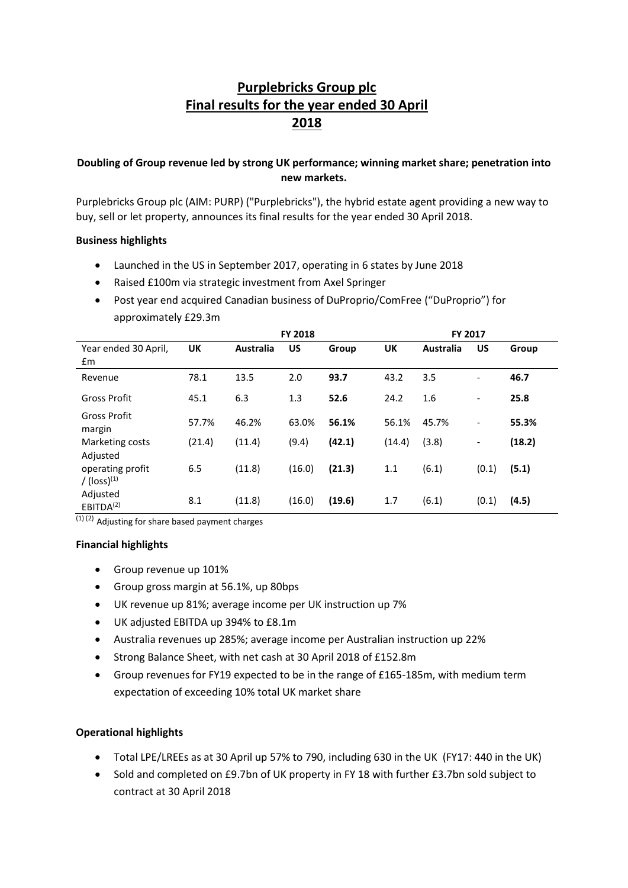# **Purplebricks Group plc Final results for the year ended 30 April 2018**

# **Doubling of Group revenue led by strong UK performance; winning market share; penetration into new markets.**

Purplebricks Group plc (AIM: PURP) ("Purplebricks"), the hybrid estate agent providing a new way to buy, sell or let property, announces its final results for the year ended 30 April 2018.

#### **Business highlights**

- Launched in the US in September 2017, operating in 6 states by June 2018
- Raised £100m via strategic investment from Axel Springer
- Post year end acquired Canadian business of DuProprio/ComFree ("DuProprio") for approximately £29.3m

|                                               |        | <b>FY 2018</b><br>FY 2017 |        |        |        |                  |                          |        |
|-----------------------------------------------|--------|---------------------------|--------|--------|--------|------------------|--------------------------|--------|
| Year ended 30 April,<br>£m                    | UK     | <b>Australia</b>          | US     | Group  | UK     | <b>Australia</b> | US                       | Group  |
| Revenue                                       | 78.1   | 13.5                      | 2.0    | 93.7   | 43.2   | 3.5              | $\overline{\phantom{a}}$ | 46.7   |
| Gross Profit                                  | 45.1   | 6.3                       | 1.3    | 52.6   | 24.2   | 1.6              | $\overline{\phantom{a}}$ | 25.8   |
| Gross Profit<br>margin                        | 57.7%  | 46.2%                     | 63.0%  | 56.1%  | 56.1%  | 45.7%            | $\overline{\phantom{a}}$ | 55.3%  |
| Marketing costs<br>Adjusted                   | (21.4) | (11.4)                    | (9.4)  | (42.1) | (14.4) | (3.8)            | $\overline{\phantom{a}}$ | (18.2) |
| operating profit<br>$/$ (loss) <sup>(1)</sup> | 6.5    | (11.8)                    | (16.0) | (21.3) | 1.1    | (6.1)            | (0.1)                    | (5.1)  |
| Adjusted<br>EBITDA <sup>(2)</sup><br>$\cdots$ | 8.1    | (11.8)                    | (16.0) | (19.6) | 1.7    | (6.1)            | (0.1)                    | (4.5)  |

 $(1)$  (2) Adjusting for share based payment charges

#### **Financial highlights**

- Group revenue up 101%
- Group gross margin at 56.1%, up 80bps
- UK revenue up 81%; average income per UK instruction up 7%
- UK adjusted EBITDA up 394% to £8.1m
- Australia revenues up 285%; average income per Australian instruction up 22%
- Strong Balance Sheet, with net cash at 30 April 2018 of £152.8m
- Group revenues for FY19 expected to be in the range of £165-185m, with medium term expectation of exceeding 10% total UK market share

#### **Operational highlights**

- Total LPE/LREEs as at 30 April up 57% to 790, including 630 in the UK (FY17: 440 in the UK)
- Sold and completed on £9.7bn of UK property in FY 18 with further £3.7bn sold subject to contract at 30 April 2018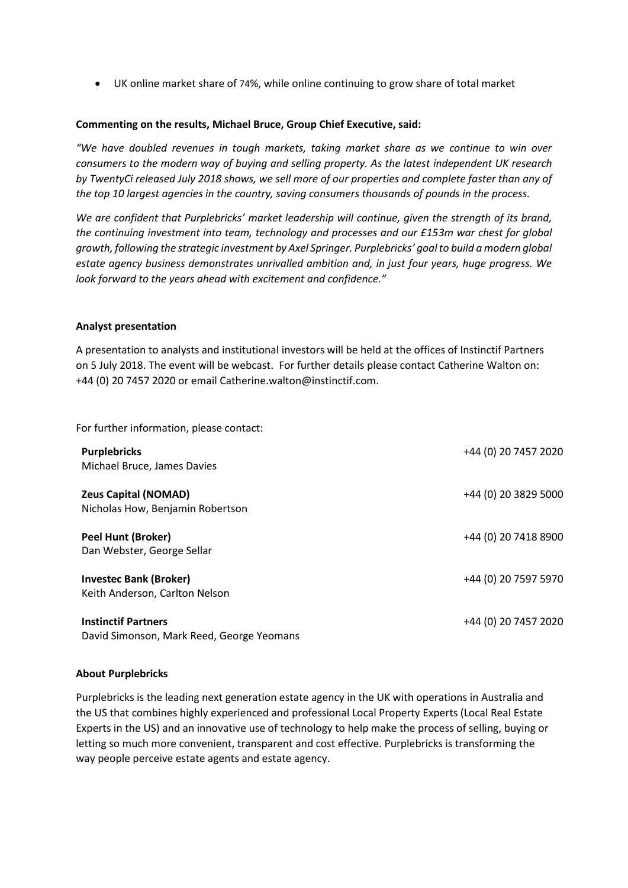UK online market share of 74%, while online continuing to grow share of total market

#### **Commenting on the results, Michael Bruce, Group Chief Executive, said:**

*"We have doubled revenues in tough markets, taking market share as we continue to win over consumers to the modern way of buying and selling property. As the latest independent UK research by TwentyCi released July 2018 shows, we sell more of our properties and complete faster than any of the top 10 largest agencies in the country, saving consumers thousands of pounds in the process.* 

*We are confident that Purplebricks' market leadership will continue, given the strength of its brand, the continuing investment into team, technology and processes and our £153m war chest for global growth, following the strategic investment by Axel Springer. Purplebricks' goal to build a modern global estate agency business demonstrates unrivalled ambition and, in just four years, huge progress. We look forward to the years ahead with excitement and confidence."* 

#### **Analyst presentation**

A presentation to analysts and institutional investors will be held at the offices of Instinctif Partners on 5 July 2018. The event will be webcast. For further details please contact Catherine Walton on: +44 (0) 20 7457 2020 or email Catherine.walton@instinctif.com.

For further information, please contact:

| <b>Purplebricks</b><br>Michael Bruce, James Davies                      | +44 (0) 20 7457 2020 |
|-------------------------------------------------------------------------|----------------------|
| <b>Zeus Capital (NOMAD)</b><br>Nicholas How, Benjamin Robertson         | +44 (0) 20 3829 5000 |
| <b>Peel Hunt (Broker)</b><br>Dan Webster, George Sellar                 | +44 (0) 20 7418 8900 |
| <b>Investec Bank (Broker)</b><br>Keith Anderson, Carlton Nelson         | +44 (0) 20 7597 5970 |
| <b>Instinctif Partners</b><br>David Simonson, Mark Reed, George Yeomans | +44 (0) 20 7457 2020 |

#### **About Purplebricks**

Purplebricks is the leading next generation estate agency in the UK with operations in Australia and the US that combines highly experienced and professional Local Property Experts (Local Real Estate Experts in the US) and an innovative use of technology to help make the process of selling, buying or letting so much more convenient, transparent and cost effective. Purplebricks is transforming the way people perceive estate agents and estate agency.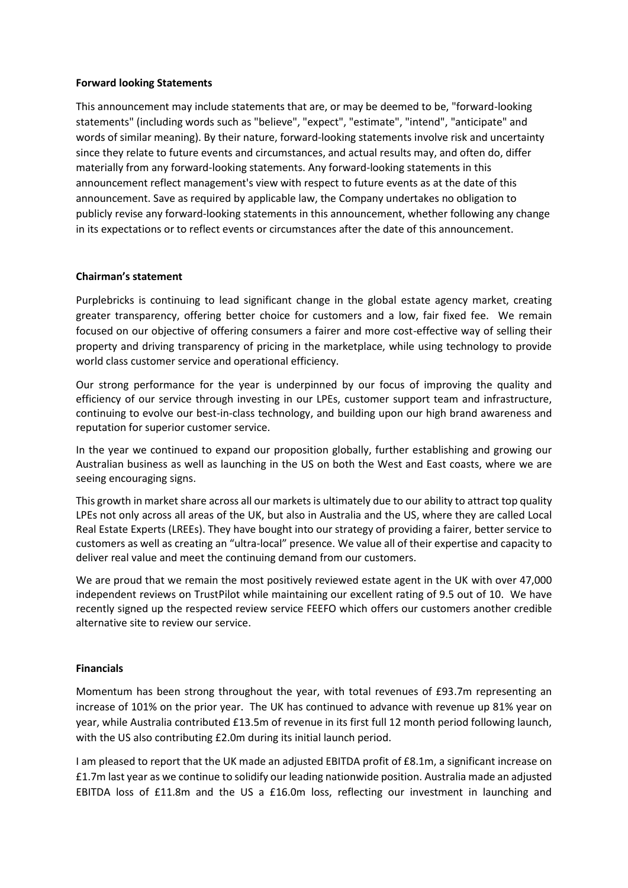#### **Forward looking Statements**

This announcement may include statements that are, or may be deemed to be, "forward-looking statements" (including words such as "believe", "expect", "estimate", "intend", "anticipate" and words of similar meaning). By their nature, forward-looking statements involve risk and uncertainty since they relate to future events and circumstances, and actual results may, and often do, differ materially from any forward-looking statements. Any forward-looking statements in this announcement reflect management's view with respect to future events as at the date of this announcement. Save as required by applicable law, the Company undertakes no obligation to publicly revise any forward-looking statements in this announcement, whether following any change in its expectations or to reflect events or circumstances after the date of this announcement.

#### **Chairman's statement**

Purplebricks is continuing to lead significant change in the global estate agency market, creating greater transparency, offering better choice for customers and a low, fair fixed fee. We remain focused on our objective of offering consumers a fairer and more cost-effective way of selling their property and driving transparency of pricing in the marketplace, while using technology to provide world class customer service and operational efficiency.

Our strong performance for the year is underpinned by our focus of improving the quality and efficiency of our service through investing in our LPEs, customer support team and infrastructure, continuing to evolve our best-in-class technology, and building upon our high brand awareness and reputation for superior customer service.

In the year we continued to expand our proposition globally, further establishing and growing our Australian business as well as launching in the US on both the West and East coasts, where we are seeing encouraging signs.

This growth in market share across all our markets is ultimately due to our ability to attract top quality LPEs not only across all areas of the UK, but also in Australia and the US, where they are called Local Real Estate Experts (LREEs). They have bought into our strategy of providing a fairer, better service to customers as well as creating an "ultra-local" presence. We value all of their expertise and capacity to deliver real value and meet the continuing demand from our customers.

We are proud that we remain the most positively reviewed estate agent in the UK with over 47,000 independent reviews on TrustPilot while maintaining our excellent rating of 9.5 out of 10. We have recently signed up the respected review service FEEFO which offers our customers another credible alternative site to review our service.

#### **Financials**

Momentum has been strong throughout the year, with total revenues of £93.7m representing an increase of 101% on the prior year. The UK has continued to advance with revenue up 81% year on year, while Australia contributed £13.5m of revenue in its first full 12 month period following launch, with the US also contributing £2.0m during its initial launch period.

I am pleased to report that the UK made an adjusted EBITDA profit of £8.1m, a significant increase on £1.7m last year as we continue to solidify our leading nationwide position. Australia made an adjusted EBITDA loss of £11.8m and the US a £16.0m loss, reflecting our investment in launching and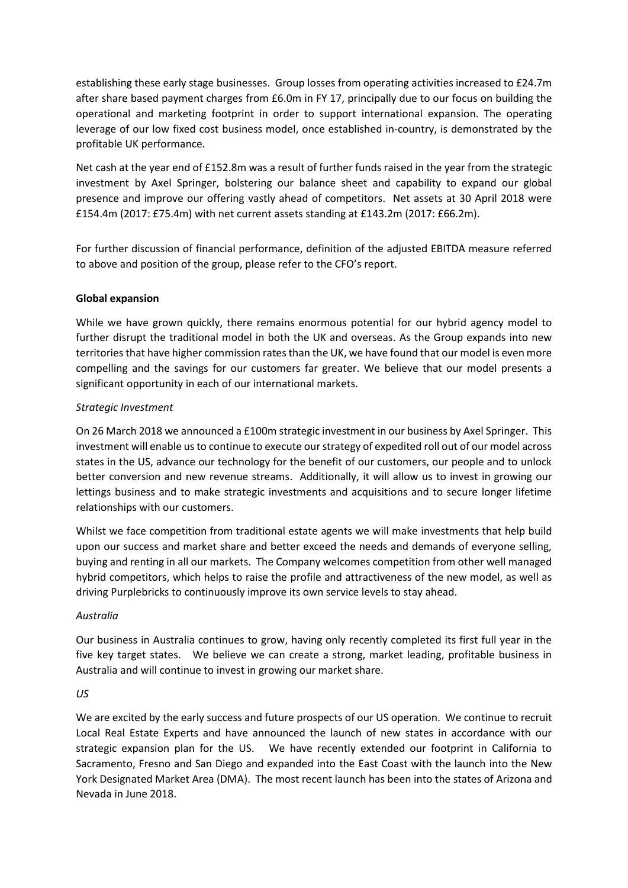establishing these early stage businesses. Group losses from operating activities increased to £24.7m after share based payment charges from £6.0m in FY 17, principally due to our focus on building the operational and marketing footprint in order to support international expansion. The operating leverage of our low fixed cost business model, once established in-country, is demonstrated by the profitable UK performance.

Net cash at the year end of £152.8m was a result of further funds raised in the year from the strategic investment by Axel Springer, bolstering our balance sheet and capability to expand our global presence and improve our offering vastly ahead of competitors. Net assets at 30 April 2018 were £154.4m (2017: £75.4m) with net current assets standing at £143.2m (2017: £66.2m).

For further discussion of financial performance, definition of the adjusted EBITDA measure referred to above and position of the group, please refer to the CFO's report.

# **Global expansion**

While we have grown quickly, there remains enormous potential for our hybrid agency model to further disrupt the traditional model in both the UK and overseas. As the Group expands into new territories that have higher commission rates than the UK, we have found that our model is even more compelling and the savings for our customers far greater. We believe that our model presents a significant opportunity in each of our international markets.

# *Strategic Investment*

On 26 March 2018 we announced a £100m strategic investment in our business by Axel Springer. This investment will enable us to continue to execute our strategy of expedited roll out of our model across states in the US, advance our technology for the benefit of our customers, our people and to unlock better conversion and new revenue streams. Additionally, it will allow us to invest in growing our lettings business and to make strategic investments and acquisitions and to secure longer lifetime relationships with our customers.

Whilst we face competition from traditional estate agents we will make investments that help build upon our success and market share and better exceed the needs and demands of everyone selling, buying and renting in all our markets. The Company welcomes competition from other well managed hybrid competitors, which helps to raise the profile and attractiveness of the new model, as well as driving Purplebricks to continuously improve its own service levels to stay ahead.

#### *Australia*

Our business in Australia continues to grow, having only recently completed its first full year in the five key target states. We believe we can create a strong, market leading, profitable business in Australia and will continue to invest in growing our market share.

#### *US*

We are excited by the early success and future prospects of our US operation. We continue to recruit Local Real Estate Experts and have announced the launch of new states in accordance with our strategic expansion plan for the US. We have recently extended our footprint in California to Sacramento, Fresno and San Diego and expanded into the East Coast with the launch into the New York Designated Market Area (DMA). The most recent launch has been into the states of Arizona and Nevada in June 2018.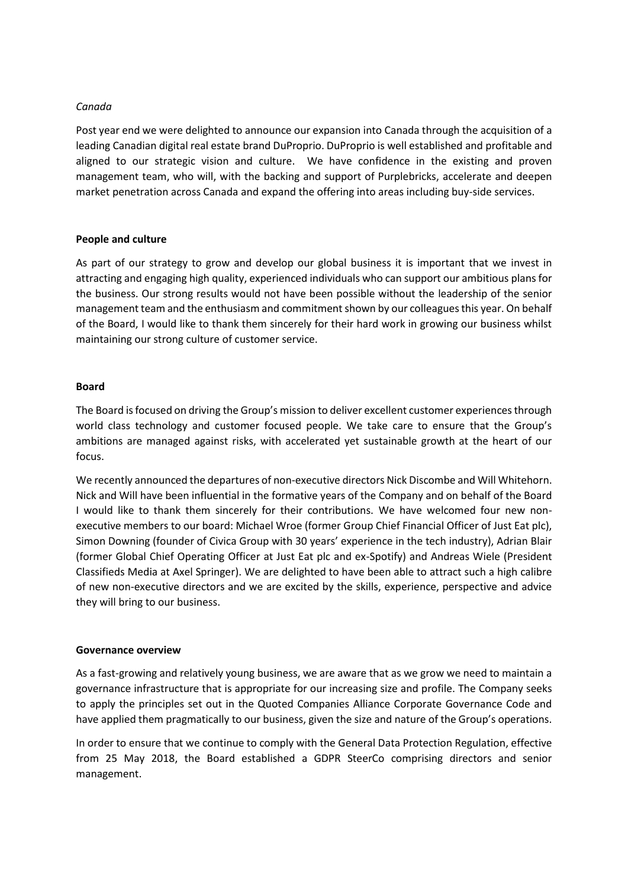#### *Canada*

Post year end we were delighted to announce our expansion into Canada through the acquisition of a leading Canadian digital real estate brand DuProprio. DuProprio is well established and profitable and aligned to our strategic vision and culture. We have confidence in the existing and proven management team, who will, with the backing and support of Purplebricks, accelerate and deepen market penetration across Canada and expand the offering into areas including buy-side services.

#### **People and culture**

As part of our strategy to grow and develop our global business it is important that we invest in attracting and engaging high quality, experienced individuals who can support our ambitious plans for the business. Our strong results would not have been possible without the leadership of the senior management team and the enthusiasm and commitment shown by our colleagues this year. On behalf of the Board, I would like to thank them sincerely for their hard work in growing our business whilst maintaining our strong culture of customer service.

#### **Board**

The Board is focused on driving the Group's mission to deliver excellent customer experiences through world class technology and customer focused people. We take care to ensure that the Group's ambitions are managed against risks, with accelerated yet sustainable growth at the heart of our focus.

We recently announced the departures of non-executive directors Nick Discombe and Will Whitehorn. Nick and Will have been influential in the formative years of the Company and on behalf of the Board I would like to thank them sincerely for their contributions. We have welcomed four new nonexecutive members to our board: Michael Wroe (former Group Chief Financial Officer of Just Eat plc), Simon Downing (founder of Civica Group with 30 years' experience in the tech industry), Adrian Blair (former Global Chief Operating Officer at Just Eat plc and ex-Spotify) and Andreas Wiele (President Classifieds Media at Axel Springer). We are delighted to have been able to attract such a high calibre of new non-executive directors and we are excited by the skills, experience, perspective and advice they will bring to our business.

#### **Governance overview**

As a fast-growing and relatively young business, we are aware that as we grow we need to maintain a governance infrastructure that is appropriate for our increasing size and profile. The Company seeks to apply the principles set out in the Quoted Companies Alliance Corporate Governance Code and have applied them pragmatically to our business, given the size and nature of the Group's operations.

In order to ensure that we continue to comply with the General Data Protection Regulation, effective from 25 May 2018, the Board established a GDPR SteerCo comprising directors and senior management.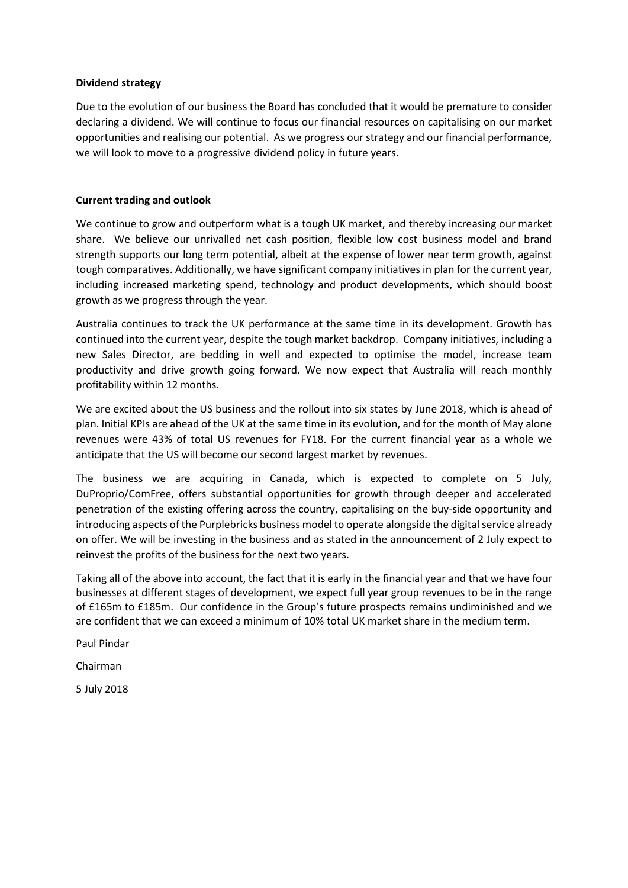#### **Dividend strategy**

Due to the evolution of our business the Board has concluded that it would be premature to consider declaring a dividend. We will continue to focus our financial resources on capitalising on our market opportunities and realising our potential. As we progress our strategy and our financial performance, we will look to move to a progressive dividend policy in future years.

#### **Current trading and outlook**

We continue to grow and outperform what is a tough UK market, and thereby increasing our market share. We believe our unrivalled net cash position, flexible low cost business model and brand strength supports our long term potential, albeit at the expense of lower near term growth, against tough comparatives. Additionally, we have significant company initiatives in plan for the current year, including increased marketing spend, technology and product developments, which should boost growth as we progress through the year.

Australia continues to track the UK performance at the same time in its development. Growth has continued into the current year, despite the tough market backdrop. Company initiatives, including a new Sales Director, are bedding in well and expected to optimise the model, increase team productivity and drive growth going forward. We now expect that Australia will reach monthly profitability within 12 months.

We are excited about the US business and the rollout into six states by June 2018, which is ahead of plan. Initial KPIs are ahead of the UK at the same time in its evolution, and for the month of May alone revenues were 43% of total US revenues for FY18. For the current financial year as a whole we anticipate that the US will become our second largest market by revenues.

The business we are acquiring in Canada, which is expected to complete on 5 July, DuProprio/ComFree, offers substantial opportunities for growth through deeper and accelerated penetration of the existing offering across the country, capitalising on the buy-side opportunity and introducing aspects of the Purplebricks business model to operate alongside the digital service already on offer. We will be investing in the business and as stated in the announcement of 2 July expect to reinvest the profits of the business for the next two years.

Taking all of the above into account, the fact that it is early in the financial year and that we have four businesses at different stages of development, we expect full year group revenues to be in the range of £165m to £185m. Our confidence in the Group's future prospects remains undiminished and we are confident that we can exceed a minimum of 10% total UK market share in the medium term.

Paul Pindar

Chairman

5 July 2018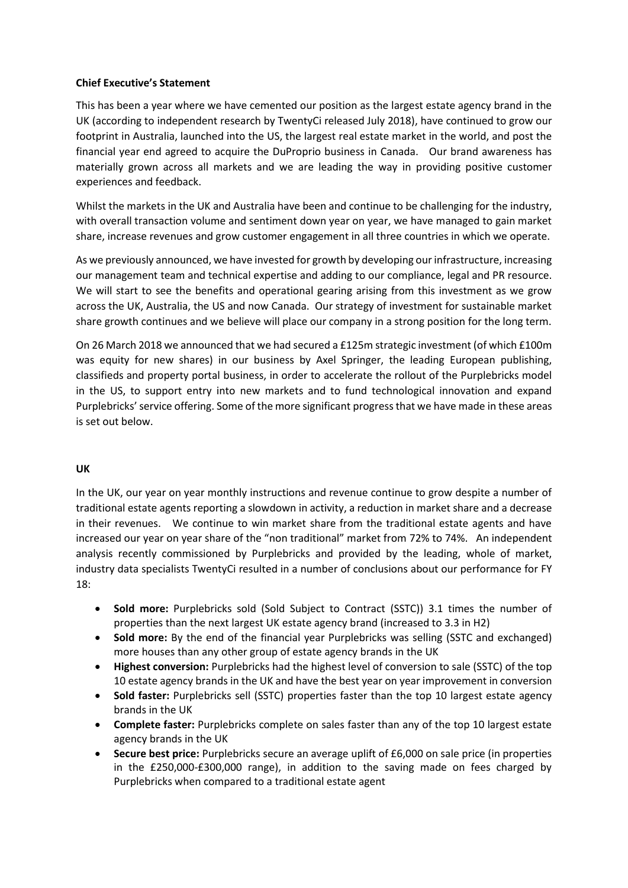# **Chief Executive's Statement**

This has been a year where we have cemented our position as the largest estate agency brand in the UK (according to independent research by TwentyCi released July 2018), have continued to grow our footprint in Australia, launched into the US, the largest real estate market in the world, and post the financial year end agreed to acquire the DuProprio business in Canada. Our brand awareness has materially grown across all markets and we are leading the way in providing positive customer experiences and feedback.

Whilst the markets in the UK and Australia have been and continue to be challenging for the industry, with overall transaction volume and sentiment down year on year, we have managed to gain market share, increase revenues and grow customer engagement in all three countries in which we operate.

As we previously announced, we have invested for growth by developing our infrastructure, increasing our management team and technical expertise and adding to our compliance, legal and PR resource. We will start to see the benefits and operational gearing arising from this investment as we grow across the UK, Australia, the US and now Canada. Our strategy of investment for sustainable market share growth continues and we believe will place our company in a strong position for the long term.

On 26 March 2018 we announced that we had secured a £125m strategic investment (of which £100m was equity for new shares) in our business by Axel Springer, the leading European publishing, classifieds and property portal business, in order to accelerate the rollout of the Purplebricks model in the US, to support entry into new markets and to fund technological innovation and expand Purplebricks' service offering. Some of the more significant progress that we have made in these areas is set out below.

#### **UK**

In the UK, our year on year monthly instructions and revenue continue to grow despite a number of traditional estate agents reporting a slowdown in activity, a reduction in market share and a decrease in their revenues. We continue to win market share from the traditional estate agents and have increased our year on year share of the "non traditional" market from 72% to 74%. An independent analysis recently commissioned by Purplebricks and provided by the leading, whole of market, industry data specialists TwentyCi resulted in a number of conclusions about our performance for FY 18:

- **Sold more:** Purplebricks sold (Sold Subject to Contract (SSTC)) 3.1 times the number of properties than the next largest UK estate agency brand (increased to 3.3 in H2)
- **Sold more:** By the end of the financial year Purplebricks was selling (SSTC and exchanged) more houses than any other group of estate agency brands in the UK
- **Highest conversion:** Purplebricks had the highest level of conversion to sale (SSTC) of the top 10 estate agency brands in the UK and have the best year on year improvement in conversion
- **Sold faster:** Purplebricks sell (SSTC) properties faster than the top 10 largest estate agency brands in the UK
- **Complete faster:** Purplebricks complete on sales faster than any of the top 10 largest estate agency brands in the UK
- **Secure best price:** Purplebricks secure an average uplift of £6,000 on sale price (in properties in the £250,000-£300,000 range), in addition to the saving made on fees charged by Purplebricks when compared to a traditional estate agent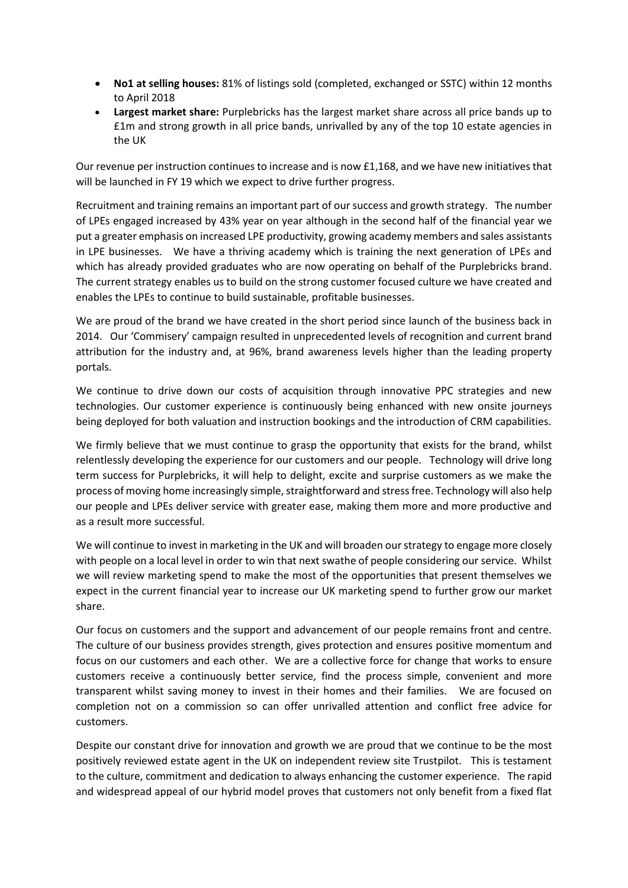- **No1 at selling houses:** 81% of listings sold (completed, exchanged or SSTC) within 12 months to April 2018
- **Largest market share:** Purplebricks has the largest market share across all price bands up to £1m and strong growth in all price bands, unrivalled by any of the top 10 estate agencies in the UK

Our revenue per instruction continues to increase and is now £1,168, and we have new initiatives that will be launched in FY 19 which we expect to drive further progress.

Recruitment and training remains an important part of our success and growth strategy. The number of LPEs engaged increased by 43% year on year although in the second half of the financial year we put a greater emphasis on increased LPE productivity, growing academy members and sales assistants in LPE businesses. We have a thriving academy which is training the next generation of LPEs and which has already provided graduates who are now operating on behalf of the Purplebricks brand. The current strategy enables us to build on the strong customer focused culture we have created and enables the LPEs to continue to build sustainable, profitable businesses.

We are proud of the brand we have created in the short period since launch of the business back in 2014. Our 'Commisery' campaign resulted in unprecedented levels of recognition and current brand attribution for the industry and, at 96%, brand awareness levels higher than the leading property portals.

We continue to drive down our costs of acquisition through innovative PPC strategies and new technologies. Our customer experience is continuously being enhanced with new onsite journeys being deployed for both valuation and instruction bookings and the introduction of CRM capabilities.

We firmly believe that we must continue to grasp the opportunity that exists for the brand, whilst relentlessly developing the experience for our customers and our people. Technology will drive long term success for Purplebricks, it will help to delight, excite and surprise customers as we make the process of moving home increasingly simple, straightforward and stress free. Technology will also help our people and LPEs deliver service with greater ease, making them more and more productive and as a result more successful.

We will continue to invest in marketing in the UK and will broaden our strategy to engage more closely with people on a local level in order to win that next swathe of people considering our service. Whilst we will review marketing spend to make the most of the opportunities that present themselves we expect in the current financial year to increase our UK marketing spend to further grow our market share.

Our focus on customers and the support and advancement of our people remains front and centre. The culture of our business provides strength, gives protection and ensures positive momentum and focus on our customers and each other. We are a collective force for change that works to ensure customers receive a continuously better service, find the process simple, convenient and more transparent whilst saving money to invest in their homes and their families. We are focused on completion not on a commission so can offer unrivalled attention and conflict free advice for customers.

Despite our constant drive for innovation and growth we are proud that we continue to be the most positively reviewed estate agent in the UK on independent review site Trustpilot. This is testament to the culture, commitment and dedication to always enhancing the customer experience. The rapid and widespread appeal of our hybrid model proves that customers not only benefit from a fixed flat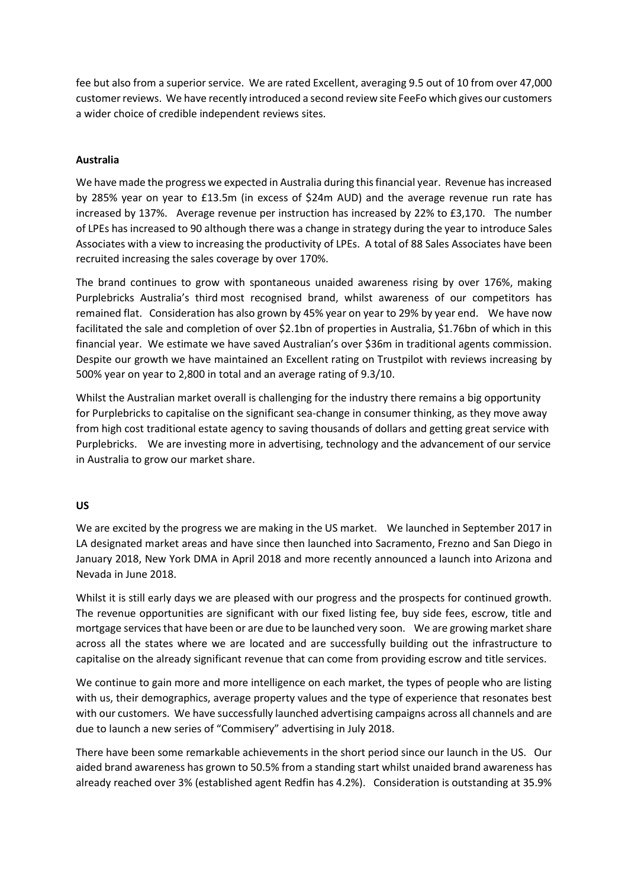fee but also from a superior service. We are rated Excellent, averaging 9.5 out of 10 from over 47,000 customer reviews. We have recently introduced a second review site FeeFo which gives our customers a wider choice of credible independent reviews sites.

### **Australia**

We have made the progress we expected in Australia during this financial year. Revenue has increased by 285% year on year to £13.5m (in excess of \$24m AUD) and the average revenue run rate has increased by 137%. Average revenue per instruction has increased by 22% to £3,170. The number of LPEs has increased to 90 although there was a change in strategy during the year to introduce Sales Associates with a view to increasing the productivity of LPEs. A total of 88 Sales Associates have been recruited increasing the sales coverage by over 170%.

The brand continues to grow with spontaneous unaided awareness rising by over 176%, making Purplebricks Australia's third most recognised brand, whilst awareness of our competitors has remained flat. Consideration has also grown by 45% year on year to 29% by year end. We have now facilitated the sale and completion of over \$2.1bn of properties in Australia, \$1.76bn of which in this financial year. We estimate we have saved Australian's over \$36m in traditional agents commission. Despite our growth we have maintained an Excellent rating on Trustpilot with reviews increasing by 500% year on year to 2,800 in total and an average rating of 9.3/10.

Whilst the Australian market overall is challenging for the industry there remains a big opportunity for Purplebricks to capitalise on the significant sea-change in consumer thinking, as they move away from high cost traditional estate agency to saving thousands of dollars and getting great service with Purplebricks. We are investing more in advertising, technology and the advancement of our service in Australia to grow our market share.

#### **US**

We are excited by the progress we are making in the US market. We launched in September 2017 in LA designated market areas and have since then launched into Sacramento, Frezno and San Diego in January 2018, New York DMA in April 2018 and more recently announced a launch into Arizona and Nevada in June 2018.

Whilst it is still early days we are pleased with our progress and the prospects for continued growth. The revenue opportunities are significant with our fixed listing fee, buy side fees, escrow, title and mortgage services that have been or are due to be launched very soon. We are growing market share across all the states where we are located and are successfully building out the infrastructure to capitalise on the already significant revenue that can come from providing escrow and title services.

We continue to gain more and more intelligence on each market, the types of people who are listing with us, their demographics, average property values and the type of experience that resonates best with our customers. We have successfully launched advertising campaigns across all channels and are due to launch a new series of "Commisery" advertising in July 2018.

There have been some remarkable achievements in the short period since our launch in the US. Our aided brand awareness has grown to 50.5% from a standing start whilst unaided brand awareness has already reached over 3% (established agent Redfin has 4.2%). Consideration is outstanding at 35.9%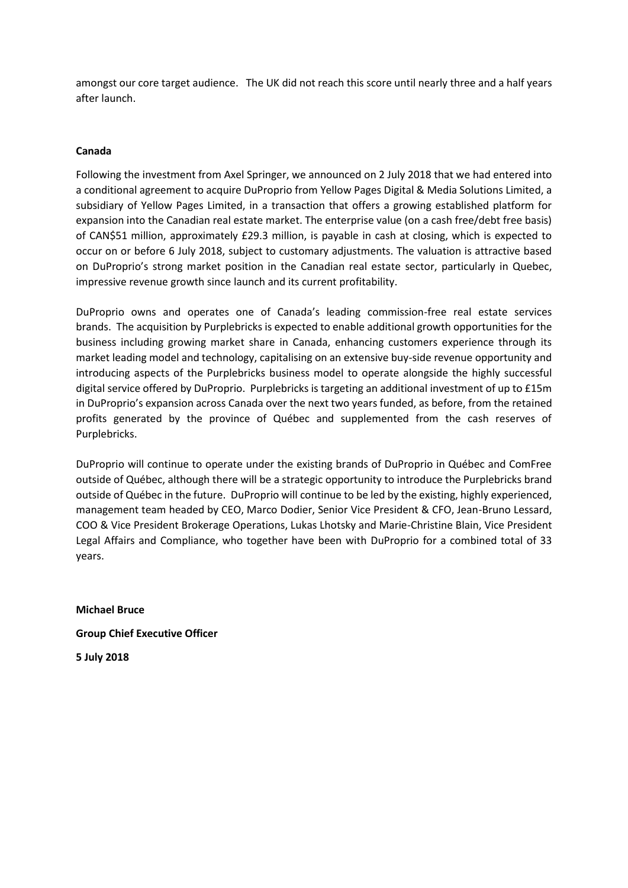amongst our core target audience. The UK did not reach this score until nearly three and a half years after launch.

### **Canada**

Following the investment from Axel Springer, we announced on 2 July 2018 that we had entered into a conditional agreement to acquire DuProprio from Yellow Pages Digital & Media Solutions Limited, a subsidiary of Yellow Pages Limited, in a transaction that offers a growing established platform for expansion into the Canadian real estate market. The enterprise value (on a cash free/debt free basis) of CAN\$51 million, approximately £29.3 million, is payable in cash at closing, which is expected to occur on or before 6 July 2018, subject to customary adjustments. The valuation is attractive based on DuProprio's strong market position in the Canadian real estate sector, particularly in Quebec, impressive revenue growth since launch and its current profitability.

DuProprio owns and operates one of Canada's leading commission-free real estate services brands. The acquisition by Purplebricks is expected to enable additional growth opportunities for the business including growing market share in Canada, enhancing customers experience through its market leading model and technology, capitalising on an extensive buy-side revenue opportunity and introducing aspects of the Purplebricks business model to operate alongside the highly successful digital service offered by DuProprio. Purplebricks is targeting an additional investment of up to £15m in DuProprio's expansion across Canada over the next two years funded, as before, from the retained profits generated by the province of Québec and supplemented from the cash reserves of Purplebricks.

DuProprio will continue to operate under the existing brands of DuProprio in Québec and ComFree outside of Québec, although there will be a strategic opportunity to introduce the Purplebricks brand outside of Québec in the future. DuProprio will continue to be led by the existing, highly experienced, management team headed by CEO, Marco Dodier, Senior Vice President & CFO, Jean-Bruno Lessard, COO & Vice President Brokerage Operations, Lukas Lhotsky and Marie-Christine Blain, Vice President Legal Affairs and Compliance, who together have been with DuProprio for a combined total of 33 years.

**Michael Bruce Group Chief Executive Officer 5 July 2018**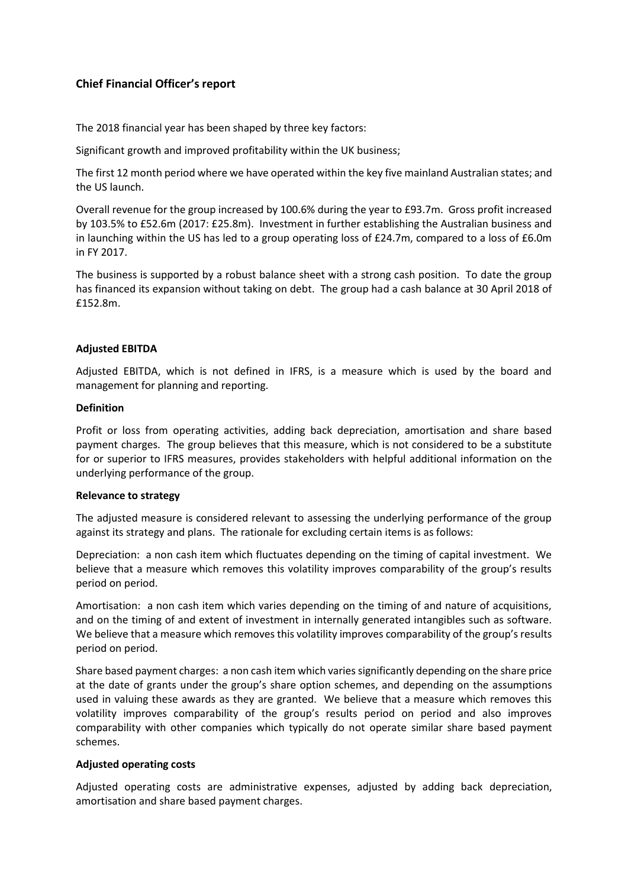# **Chief Financial Officer's report**

The 2018 financial year has been shaped by three key factors:

Significant growth and improved profitability within the UK business;

The first 12 month period where we have operated within the key five mainland Australian states; and the US launch.

Overall revenue for the group increased by 100.6% during the year to £93.7m. Gross profit increased by 103.5% to £52.6m (2017: £25.8m). Investment in further establishing the Australian business and in launching within the US has led to a group operating loss of £24.7m, compared to a loss of £6.0m in FY 2017.

The business is supported by a robust balance sheet with a strong cash position. To date the group has financed its expansion without taking on debt. The group had a cash balance at 30 April 2018 of £152.8m.

#### **Adjusted EBITDA**

Adjusted EBITDA, which is not defined in IFRS, is a measure which is used by the board and management for planning and reporting.

#### **Definition**

Profit or loss from operating activities, adding back depreciation, amortisation and share based payment charges. The group believes that this measure, which is not considered to be a substitute for or superior to IFRS measures, provides stakeholders with helpful additional information on the underlying performance of the group.

#### **Relevance to strategy**

The adjusted measure is considered relevant to assessing the underlying performance of the group against its strategy and plans. The rationale for excluding certain items is as follows:

Depreciation: a non cash item which fluctuates depending on the timing of capital investment. We believe that a measure which removes this volatility improves comparability of the group's results period on period.

Amortisation: a non cash item which varies depending on the timing of and nature of acquisitions, and on the timing of and extent of investment in internally generated intangibles such as software. We believe that a measure which removes this volatility improves comparability of the group's results period on period.

Share based payment charges: a non cash item which varies significantly depending on the share price at the date of grants under the group's share option schemes, and depending on the assumptions used in valuing these awards as they are granted. We believe that a measure which removes this volatility improves comparability of the group's results period on period and also improves comparability with other companies which typically do not operate similar share based payment schemes.

#### **Adjusted operating costs**

Adjusted operating costs are administrative expenses, adjusted by adding back depreciation, amortisation and share based payment charges.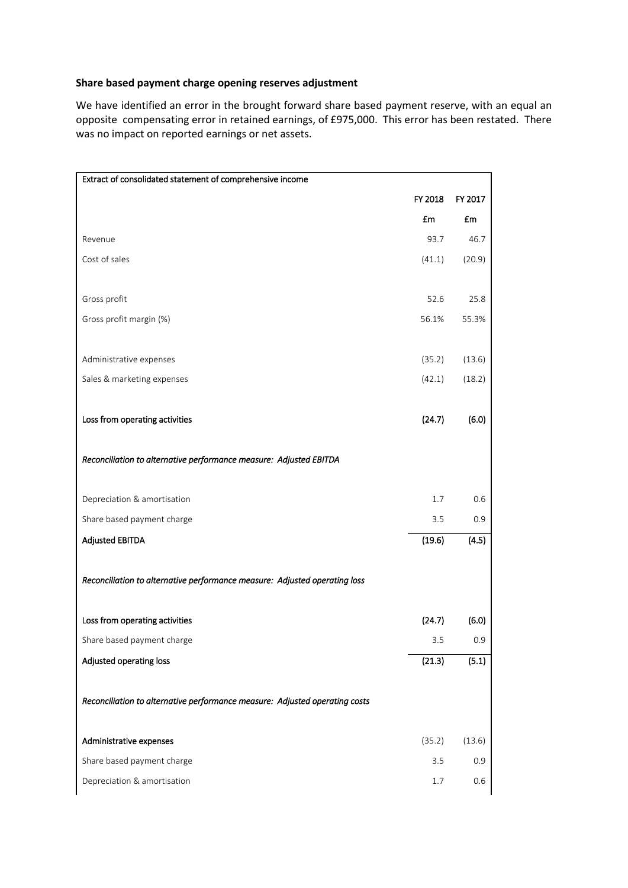# **Share based payment charge opening reserves adjustment**

We have identified an error in the brought forward share based payment reserve, with an equal an opposite compensating error in retained earnings, of £975,000. This error has been restated. There was no impact on reported earnings or net assets.

| Extract of consolidated statement of comprehensive income                   |         |               |
|-----------------------------------------------------------------------------|---------|---------------|
|                                                                             | FY 2018 | FY 2017       |
|                                                                             | £m      | £m            |
| Revenue                                                                     | 93.7    | 46.7          |
| Cost of sales                                                               | (41.1)  | (20.9)        |
|                                                                             |         |               |
| Gross profit                                                                | 52.6    | 25.8          |
| Gross profit margin (%)                                                     | 56.1%   | 55.3%         |
|                                                                             |         |               |
| Administrative expenses                                                     | (35.2)  | (13.6)        |
| Sales & marketing expenses                                                  | (42.1)  | (18.2)        |
|                                                                             |         |               |
| Loss from operating activities                                              | (24.7)  | (6.0)         |
|                                                                             |         |               |
| Reconciliation to alternative performance measure: Adjusted EBITDA          |         |               |
|                                                                             |         |               |
| Depreciation & amortisation                                                 | 1.7     | 0.6           |
| Share based payment charge                                                  | 3.5     | 0.9           |
| <b>Adjusted EBITDA</b>                                                      | (19.6)  | (4.5)         |
| Reconciliation to alternative performance measure: Adjusted operating loss  |         |               |
|                                                                             |         |               |
| Loss from operating activities                                              | (24.7)  | (6.0)         |
| Share based payment charge                                                  | 3.5     | 0.9           |
| Adjusted operating loss                                                     | (21.3)  | (5.1)         |
|                                                                             |         |               |
| Reconciliation to alternative performance measure: Adjusted operating costs |         |               |
| Administrative expenses                                                     | (35.2)  |               |
| Share based payment charge                                                  | 3.5     | (13.6)<br>0.9 |
| Depreciation & amortisation                                                 | 1.7     | 0.6           |
|                                                                             |         |               |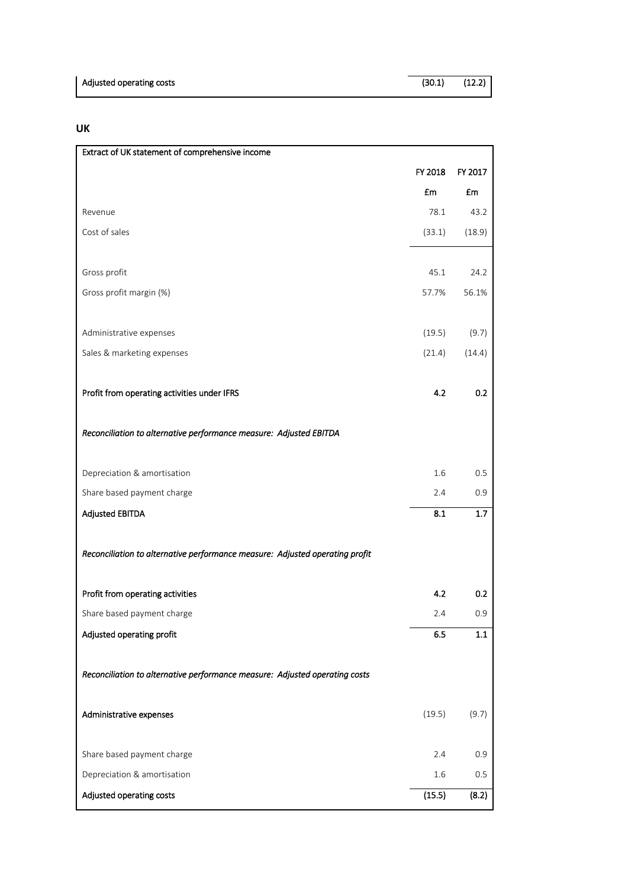# **UK**

| Extract of UK statement of comprehensive income                              |         |            |
|------------------------------------------------------------------------------|---------|------------|
|                                                                              | FY 2018 | FY 2017    |
|                                                                              | £m      | £m         |
| Revenue                                                                      | 78.1    | 43.2       |
| Cost of sales                                                                | (33.1)  | (18.9)     |
|                                                                              |         |            |
| Gross profit                                                                 | 45.1    | 24.2       |
| Gross profit margin (%)                                                      | 57.7%   | 56.1%      |
|                                                                              |         |            |
| Administrative expenses                                                      | (19.5)  | (9.7)      |
| Sales & marketing expenses                                                   | (21.4)  | (14.4)     |
|                                                                              |         |            |
| Profit from operating activities under IFRS                                  | 4.2     | 0.2        |
|                                                                              |         |            |
| Reconciliation to alternative performance measure: Adjusted EBITDA           |         |            |
|                                                                              |         |            |
| Depreciation & amortisation                                                  | 1.6     | 0.5        |
| Share based payment charge                                                   | 2.4     | 0.9        |
| <b>Adjusted EBITDA</b>                                                       | 8.1     | $1.7\,$    |
|                                                                              |         |            |
| Reconciliation to alternative performance measure: Adjusted operating profit |         |            |
|                                                                              | 4.2     |            |
| Profit from operating activities                                             | 2.4     | 0.2<br>0.9 |
| Share based payment charge<br>Adjusted operating profit                      | 6.5     | 1.1        |
|                                                                              |         |            |
| Reconciliation to alternative performance measure: Adjusted operating costs  |         |            |
|                                                                              |         |            |
| Administrative expenses                                                      | (19.5)  | (9.7)      |
|                                                                              |         |            |
| Share based payment charge                                                   | 2.4     | 0.9        |
| Depreciation & amortisation                                                  | 1.6     | $0.5\,$    |
| Adjusted operating costs                                                     | (15.5)  | (8.2)      |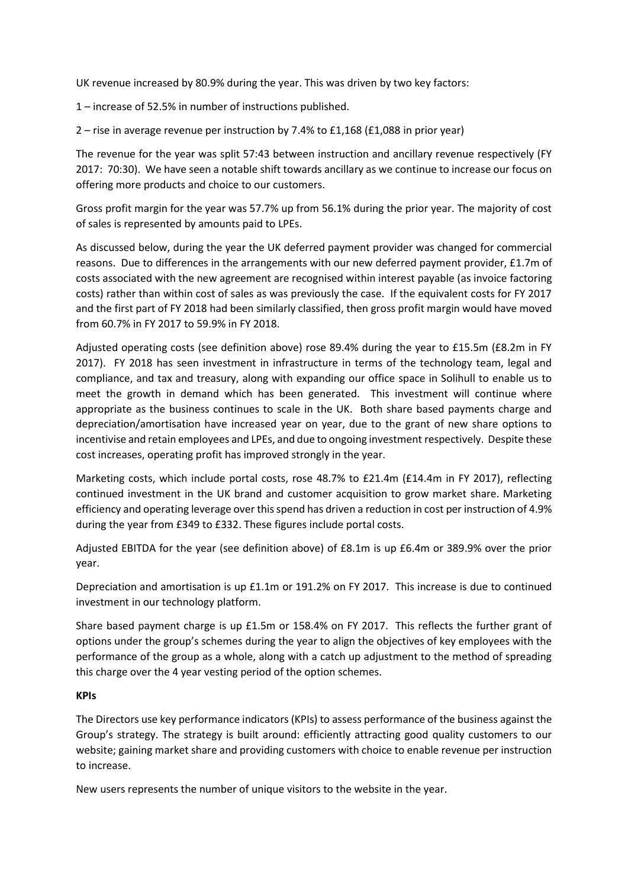UK revenue increased by 80.9% during the year. This was driven by two key factors:

1 – increase of 52.5% in number of instructions published.

2 – rise in average revenue per instruction by 7.4% to £1,168 (£1,088 in prior year)

The revenue for the year was split 57:43 between instruction and ancillary revenue respectively (FY 2017: 70:30). We have seen a notable shift towards ancillary as we continue to increase our focus on offering more products and choice to our customers.

Gross profit margin for the year was 57.7% up from 56.1% during the prior year. The majority of cost of sales is represented by amounts paid to LPEs.

As discussed below, during the year the UK deferred payment provider was changed for commercial reasons. Due to differences in the arrangements with our new deferred payment provider, £1.7m of costs associated with the new agreement are recognised within interest payable (as invoice factoring costs) rather than within cost of sales as was previously the case. If the equivalent costs for FY 2017 and the first part of FY 2018 had been similarly classified, then gross profit margin would have moved from 60.7% in FY 2017 to 59.9% in FY 2018.

Adjusted operating costs (see definition above) rose 89.4% during the year to £15.5m (£8.2m in FY 2017). FY 2018 has seen investment in infrastructure in terms of the technology team, legal and compliance, and tax and treasury, along with expanding our office space in Solihull to enable us to meet the growth in demand which has been generated. This investment will continue where appropriate as the business continues to scale in the UK. Both share based payments charge and depreciation/amortisation have increased year on year, due to the grant of new share options to incentivise and retain employees and LPEs, and due to ongoing investment respectively. Despite these cost increases, operating profit has improved strongly in the year.

Marketing costs, which include portal costs, rose 48.7% to £21.4m (£14.4m in FY 2017), reflecting continued investment in the UK brand and customer acquisition to grow market share. Marketing efficiency and operating leverage over this spend has driven a reduction in cost per instruction of 4.9% during the year from £349 to £332. These figures include portal costs.

Adjusted EBITDA for the year (see definition above) of £8.1m is up £6.4m or 389.9% over the prior year.

Depreciation and amortisation is up £1.1m or 191.2% on FY 2017. This increase is due to continued investment in our technology platform.

Share based payment charge is up £1.5m or 158.4% on FY 2017. This reflects the further grant of options under the group's schemes during the year to align the objectives of key employees with the performance of the group as a whole, along with a catch up adjustment to the method of spreading this charge over the 4 year vesting period of the option schemes.

#### **KPIs**

The Directors use key performance indicators (KPIs) to assess performance of the business against the Group's strategy. The strategy is built around: efficiently attracting good quality customers to our website; gaining market share and providing customers with choice to enable revenue per instruction to increase.

New users represents the number of unique visitors to the website in the year.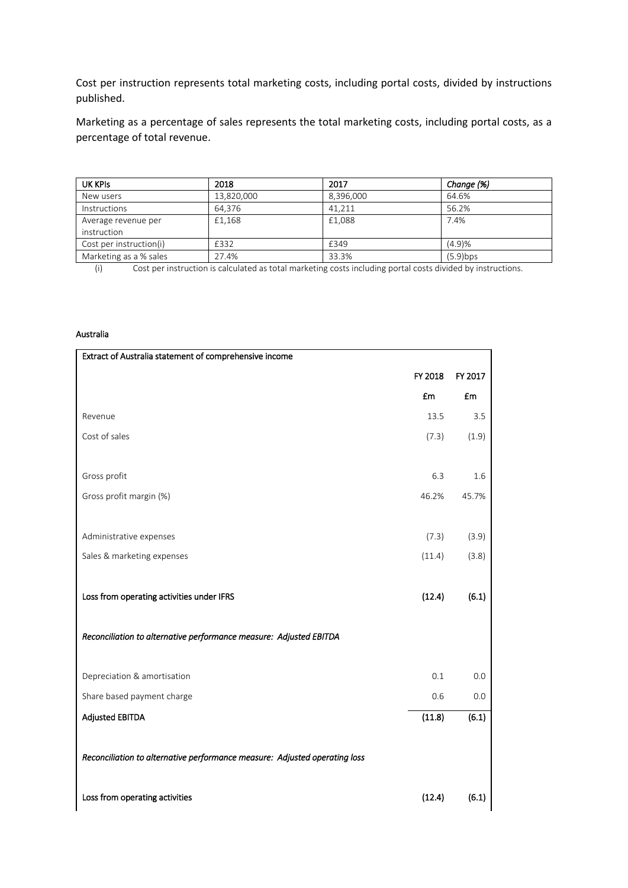Cost per instruction represents total marketing costs, including portal costs, divided by instructions published.

Marketing as a percentage of sales represents the total marketing costs, including portal costs, as a percentage of total revenue.

| UK KPIS                 | 2018       | 2017      | Change (%)  |
|-------------------------|------------|-----------|-------------|
| New users               | 13,820,000 | 8,396,000 | 64.6%       |
| <b>Instructions</b>     | 64.376     | 41.211    | 56.2%       |
| Average revenue per     | £1,168     | £1.088    | 7.4%        |
| instruction             |            |           |             |
| Cost per instruction(i) | £332       | £349      | (4.9)%      |
| Marketing as a % sales  | 27.4%      | 33.3%     | $(5.9)$ bps |

(i) Cost per instruction is calculated as total marketing costs including portal costs divided by instructions.

#### Australia

| Extract of Australia statement of comprehensive income                     |         |         |
|----------------------------------------------------------------------------|---------|---------|
|                                                                            | FY 2018 | FY 2017 |
|                                                                            | £m      | £m      |
| Revenue                                                                    | 13.5    | 3.5     |
| Cost of sales                                                              | (7.3)   | (1.9)   |
|                                                                            |         |         |
| Gross profit                                                               | 6.3     | 1.6     |
| Gross profit margin (%)                                                    | 46.2%   | 45.7%   |
|                                                                            |         |         |
| Administrative expenses                                                    | (7.3)   | (3.9)   |
| Sales & marketing expenses                                                 | (11.4)  | (3.8)   |
|                                                                            |         |         |
| Loss from operating activities under IFRS                                  | (12.4)  | (6.1)   |
|                                                                            |         |         |
| Reconciliation to alternative performance measure: Adjusted EBITDA         |         |         |
|                                                                            |         |         |
| Depreciation & amortisation                                                | 0.1     | 0.0     |
| Share based payment charge                                                 | 0.6     | 0.0     |
| <b>Adjusted EBITDA</b>                                                     | (11.8)  | (6.1)   |
|                                                                            |         |         |
| Reconciliation to alternative performance measure: Adjusted operating loss |         |         |
|                                                                            |         |         |
| Loss from operating activities                                             | (12.4)  | (6.1)   |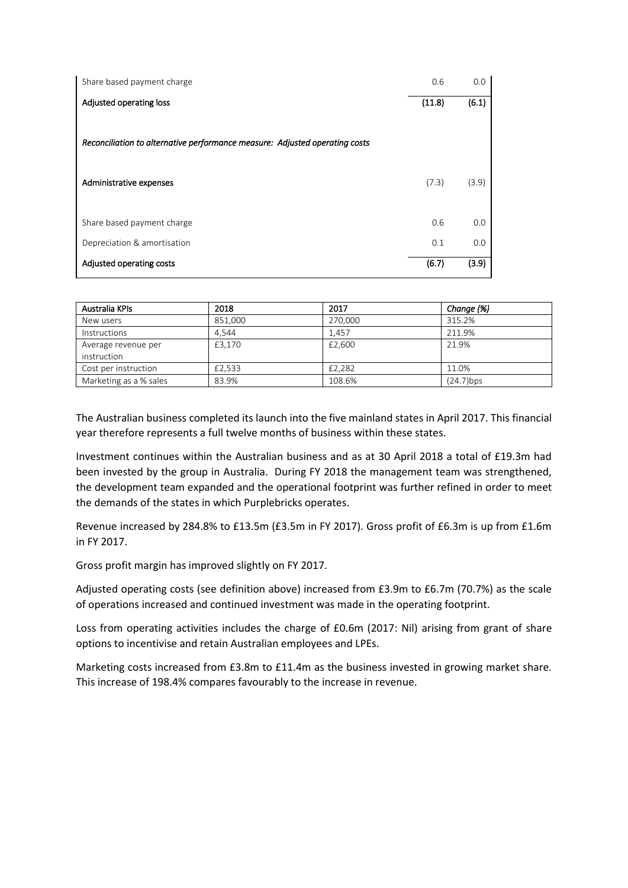| Share based payment charge                                                  | 0.6    | 0.0   |
|-----------------------------------------------------------------------------|--------|-------|
| Adjusted operating loss                                                     | (11.8) | (6.1) |
|                                                                             |        |       |
| Reconciliation to alternative performance measure: Adjusted operating costs |        |       |
| Administrative expenses                                                     | (7.3)  | (3.9) |
|                                                                             |        |       |
| Share based payment charge                                                  | 0.6    | 0.0   |
| Depreciation & amortisation                                                 | 0.1    | 0.0   |
| Adjusted operating costs                                                    | (6.7)  | (3.9) |

| Australia KPIs         | 2018    | 2017    | Change (%) |
|------------------------|---------|---------|------------|
| New users              | 851.000 | 270.000 | 315.2%     |
| <b>Instructions</b>    | 4.544   | 1.457   | 211.9%     |
| Average revenue per    | £3,170  | £2,600  | 21.9%      |
| instruction            |         |         |            |
| Cost per instruction   | £2,533  | £2,282  | 11.0%      |
| Marketing as a % sales | 83.9%   | 108.6%  | (24.7)bps  |

The Australian business completed its launch into the five mainland states in April 2017. This financial year therefore represents a full twelve months of business within these states.

Investment continues within the Australian business and as at 30 April 2018 a total of £19.3m had been invested by the group in Australia. During FY 2018 the management team was strengthened, the development team expanded and the operational footprint was further refined in order to meet the demands of the states in which Purplebricks operates.

Revenue increased by 284.8% to £13.5m (£3.5m in FY 2017). Gross profit of £6.3m is up from £1.6m in FY 2017.

Gross profit margin has improved slightly on FY 2017.

Adjusted operating costs (see definition above) increased from £3.9m to £6.7m (70.7%) as the scale of operations increased and continued investment was made in the operating footprint.

Loss from operating activities includes the charge of £0.6m (2017: Nil) arising from grant of share options to incentivise and retain Australian employees and LPEs.

Marketing costs increased from £3.8m to £11.4m as the business invested in growing market share. This increase of 198.4% compares favourably to the increase in revenue.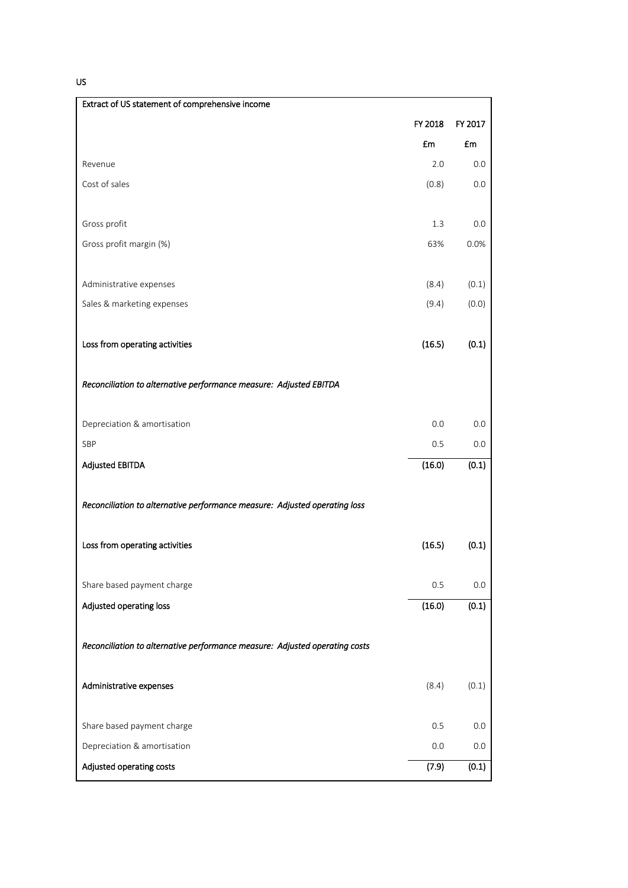US

| Extract of US statement of comprehensive income                             |         |         |
|-----------------------------------------------------------------------------|---------|---------|
|                                                                             | FY 2018 | FY 2017 |
|                                                                             | £m      | £m      |
| Revenue                                                                     | 2.0     | 0.0     |
| Cost of sales                                                               | (0.8)   | 0.0     |
|                                                                             |         |         |
| Gross profit                                                                | 1.3     | 0.0     |
| Gross profit margin (%)                                                     | 63%     | 0.0%    |
|                                                                             |         |         |
| Administrative expenses                                                     | (8.4)   | (0.1)   |
| Sales & marketing expenses                                                  | (9.4)   | (0.0)   |
|                                                                             |         |         |
| Loss from operating activities                                              | (16.5)  | (0.1)   |
|                                                                             |         |         |
| Reconciliation to alternative performance measure: Adjusted EBITDA          |         |         |
|                                                                             |         |         |
| Depreciation & amortisation                                                 | 0.0     | 0.0     |
| SBP                                                                         | 0.5     | 0.0     |
| <b>Adjusted EBITDA</b>                                                      | (16.0)  | (0.1)   |
| Reconciliation to alternative performance measure: Adjusted operating loss  |         |         |
|                                                                             |         |         |
| Loss from operating activities                                              | (16.5)  | (0.1)   |
|                                                                             |         |         |
| Share based payment charge                                                  | 0.5     | 0.0     |
| Adjusted operating loss                                                     | (16.0)  | (0.1)   |
|                                                                             |         |         |
| Reconciliation to alternative performance measure: Adjusted operating costs |         |         |
|                                                                             |         |         |
| Administrative expenses                                                     | (8.4)   | (0.1)   |
|                                                                             |         |         |
| Share based payment charge                                                  | 0.5     | 0.0     |
| Depreciation & amortisation                                                 | 0.0     | 0.0     |
| Adjusted operating costs                                                    | (7.9)   | (0.1)   |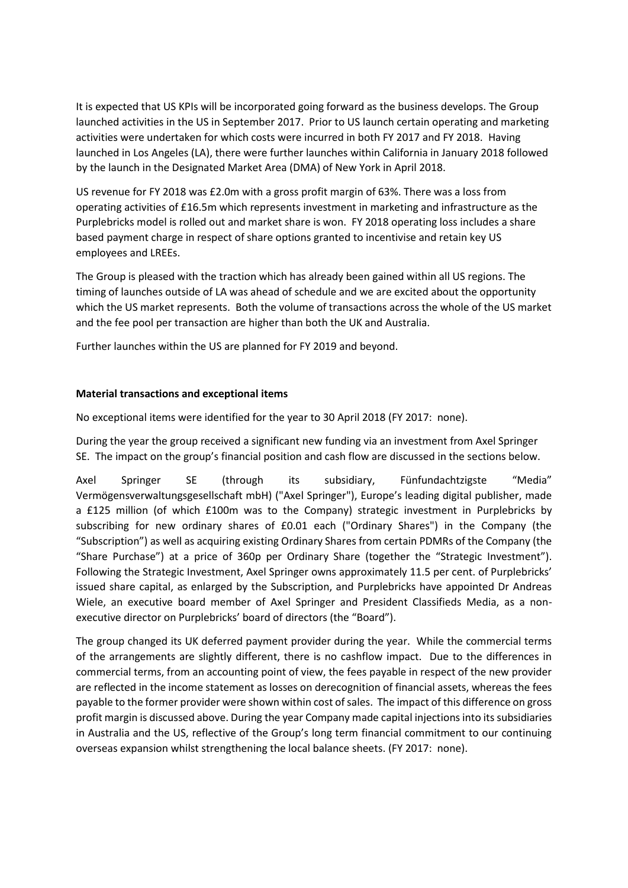It is expected that US KPIs will be incorporated going forward as the business develops. The Group launched activities in the US in September 2017. Prior to US launch certain operating and marketing activities were undertaken for which costs were incurred in both FY 2017 and FY 2018. Having launched in Los Angeles (LA), there were further launches within California in January 2018 followed by the launch in the Designated Market Area (DMA) of New York in April 2018.

US revenue for FY 2018 was £2.0m with a gross profit margin of 63%. There was a loss from operating activities of £16.5m which represents investment in marketing and infrastructure as the Purplebricks model is rolled out and market share is won. FY 2018 operating loss includes a share based payment charge in respect of share options granted to incentivise and retain key US employees and LREEs.

The Group is pleased with the traction which has already been gained within all US regions. The timing of launches outside of LA was ahead of schedule and we are excited about the opportunity which the US market represents. Both the volume of transactions across the whole of the US market and the fee pool per transaction are higher than both the UK and Australia.

Further launches within the US are planned for FY 2019 and beyond.

# **Material transactions and exceptional items**

No exceptional items were identified for the year to 30 April 2018 (FY 2017: none).

During the year the group received a significant new funding via an investment from Axel Springer SE. The impact on the group's financial position and cash flow are discussed in the sections below.

Axel Springer SE (through its subsidiary, Fünfundachtzigste "Media" Vermögensverwaltungsgesellschaft mbH) ("Axel Springer"), Europe's leading digital publisher, made a £125 million (of which £100m was to the Company) strategic investment in Purplebricks by subscribing for new ordinary shares of £0.01 each ("Ordinary Shares") in the Company (the "Subscription") as well as acquiring existing Ordinary Shares from certain PDMRs of the Company (the "Share Purchase") at a price of 360p per Ordinary Share (together the "Strategic Investment"). Following the Strategic Investment, Axel Springer owns approximately 11.5 per cent. of Purplebricks' issued share capital, as enlarged by the Subscription, and Purplebricks have appointed Dr Andreas Wiele, an executive board member of Axel Springer and President Classifieds Media, as a nonexecutive director on Purplebricks' board of directors (the "Board").

The group changed its UK deferred payment provider during the year. While the commercial terms of the arrangements are slightly different, there is no cashflow impact. Due to the differences in commercial terms, from an accounting point of view, the fees payable in respect of the new provider are reflected in the income statement as losses on derecognition of financial assets, whereas the fees payable to the former provider were shown within cost of sales. The impact of this difference on gross profit margin is discussed above. During the year Company made capital injections into its subsidiaries in Australia and the US, reflective of the Group's long term financial commitment to our continuing overseas expansion whilst strengthening the local balance sheets. (FY 2017: none).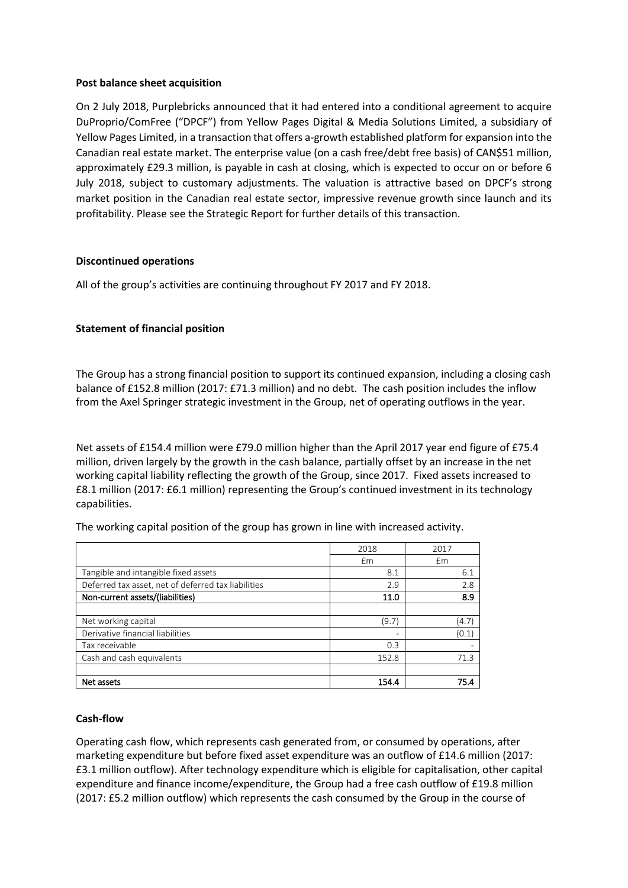#### **Post balance sheet acquisition**

On 2 July 2018, Purplebricks announced that it had entered into a conditional agreement to acquire DuProprio/ComFree ("DPCF") from Yellow Pages Digital & Media Solutions Limited, a subsidiary of Yellow Pages Limited, in a transaction that offers a-growth established platform for expansion into the Canadian real estate market. The enterprise value (on a cash free/debt free basis) of CAN\$51 million, approximately £29.3 million, is payable in cash at closing, which is expected to occur on or before 6 July 2018, subject to customary adjustments. The valuation is attractive based on DPCF's strong market position in the Canadian real estate sector, impressive revenue growth since launch and its profitability. Please see the Strategic Report for further details of this transaction.

#### **Discontinued operations**

All of the group's activities are continuing throughout FY 2017 and FY 2018.

# **Statement of financial position**

The Group has a strong financial position to support its continued expansion, including a closing cash balance of £152.8 million (2017: £71.3 million) and no debt. The cash position includes the inflow from the Axel Springer strategic investment in the Group, net of operating outflows in the year.

Net assets of £154.4 million were £79.0 million higher than the April 2017 year end figure of £75.4 million, driven largely by the growth in the cash balance, partially offset by an increase in the net working capital liability reflecting the growth of the Group, since 2017. Fixed assets increased to £8.1 million (2017: £6.1 million) representing the Group's continued investment in its technology capabilities.

|                                                     | 2018  | 2017  |
|-----------------------------------------------------|-------|-------|
|                                                     | Em    | £m    |
| Tangible and intangible fixed assets                | 8.1   | 6.1   |
| Deferred tax asset, net of deferred tax liabilities | 2.9   | 2.8   |
| Non-current assets/(liabilities)                    | 11.0  | 8.9   |
|                                                     |       |       |
| Net working capital                                 | (9.7) | (4.7) |
| Derivative financial liabilities                    |       | (0.1) |
| Tax receivable                                      | 0.3   | ۰     |
| Cash and cash equivalents                           | 152.8 | 71.3  |
|                                                     |       |       |
| Net assets                                          | 154.4 | 75.4  |

The working capital position of the group has grown in line with increased activity.

#### **Cash-flow**

Operating cash flow, which represents cash generated from, or consumed by operations, after marketing expenditure but before fixed asset expenditure was an outflow of £14.6 million (2017: £3.1 million outflow). After technology expenditure which is eligible for capitalisation, other capital expenditure and finance income/expenditure, the Group had a free cash outflow of £19.8 million (2017: £5.2 million outflow) which represents the cash consumed by the Group in the course of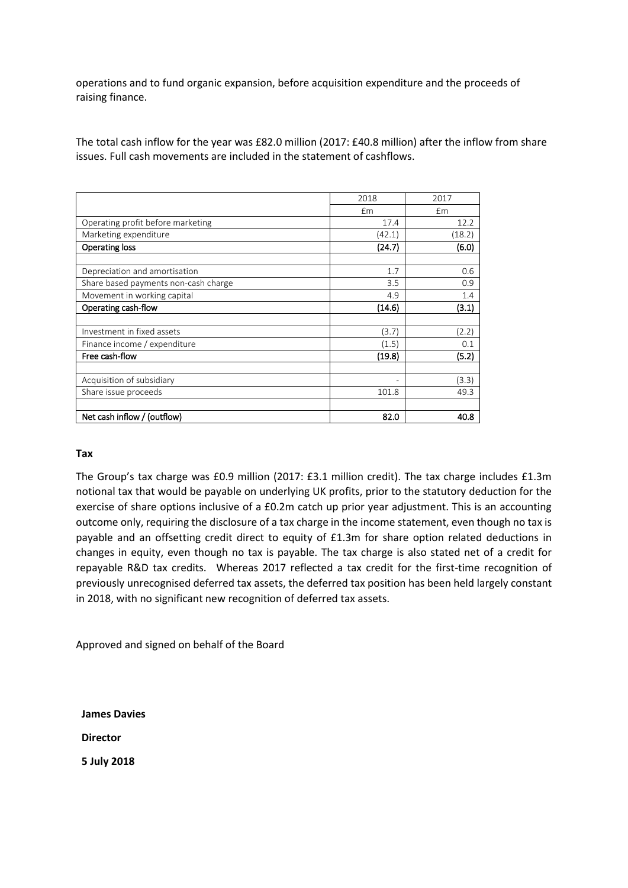operations and to fund organic expansion, before acquisition expenditure and the proceeds of raising finance.

The total cash inflow for the year was £82.0 million (2017: £40.8 million) after the inflow from share issues. Full cash movements are included in the statement of cashflows.

|                                      | 2018                     | 2017   |
|--------------------------------------|--------------------------|--------|
|                                      | £m                       | £m     |
| Operating profit before marketing    | 17.4                     | 12.2   |
| Marketing expenditure                | (42.1)                   | (18.2) |
| <b>Operating loss</b>                | (24.7)                   | (6.0)  |
|                                      |                          |        |
| Depreciation and amortisation        | 1.7                      | 0.6    |
| Share based payments non-cash charge | 3.5                      | 0.9    |
| Movement in working capital          | 4.9                      | 1.4    |
| Operating cash-flow                  | (14.6)                   | (3.1)  |
|                                      |                          |        |
| Investment in fixed assets           | (3.7)                    | (2.2)  |
| Finance income / expenditure         | (1.5)                    | 0.1    |
| Free cash-flow                       | (19.8)                   | (5.2)  |
|                                      |                          |        |
| Acquisition of subsidiary            | $\overline{\phantom{a}}$ | (3.3)  |
| Share issue proceeds                 | 101.8                    | 49.3   |
|                                      |                          |        |
| Net cash inflow / (outflow)          | 82.0                     | 40.8   |

#### **Tax**

The Group's tax charge was £0.9 million (2017: £3.1 million credit). The tax charge includes £1.3m notional tax that would be payable on underlying UK profits, prior to the statutory deduction for the exercise of share options inclusive of a £0.2m catch up prior year adjustment. This is an accounting outcome only, requiring the disclosure of a tax charge in the income statement, even though no tax is payable and an offsetting credit direct to equity of £1.3m for share option related deductions in changes in equity, even though no tax is payable. The tax charge is also stated net of a credit for repayable R&D tax credits. Whereas 2017 reflected a tax credit for the first-time recognition of previously unrecognised deferred tax assets, the deferred tax position has been held largely constant in 2018, with no significant new recognition of deferred tax assets.

Approved and signed on behalf of the Board

**James Davies**

**Director**

**5 July 2018**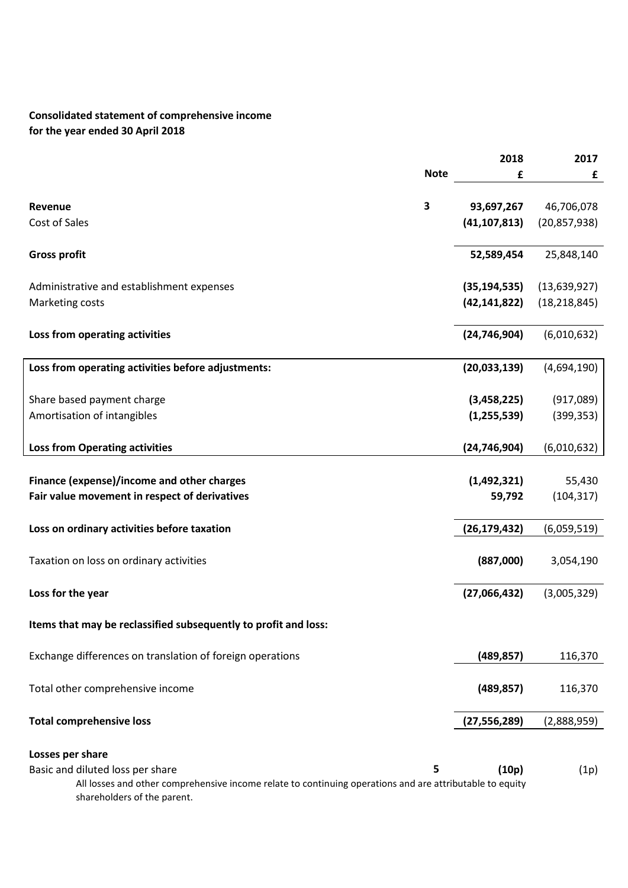# **Consolidated statement of comprehensive income for the year ended 30 April 2018**

|                                                                                                                                                                             |             | 2018           | 2017           |
|-----------------------------------------------------------------------------------------------------------------------------------------------------------------------------|-------------|----------------|----------------|
|                                                                                                                                                                             | <b>Note</b> | £              | £              |
| Revenue                                                                                                                                                                     | 3           | 93,697,267     | 46,706,078     |
| Cost of Sales                                                                                                                                                               |             | (41, 107, 813) | (20, 857, 938) |
| <b>Gross profit</b>                                                                                                                                                         |             | 52,589,454     | 25,848,140     |
| Administrative and establishment expenses                                                                                                                                   |             | (35, 194, 535) | (13, 639, 927) |
| Marketing costs                                                                                                                                                             |             | (42, 141, 822) | (18, 218, 845) |
| Loss from operating activities                                                                                                                                              |             | (24, 746, 904) | (6,010,632)    |
| Loss from operating activities before adjustments:                                                                                                                          |             | (20,033,139)   | (4,694,190)    |
| Share based payment charge                                                                                                                                                  |             | (3,458,225)    | (917,089)      |
| Amortisation of intangibles                                                                                                                                                 |             | (1, 255, 539)  | (399, 353)     |
| <b>Loss from Operating activities</b>                                                                                                                                       |             | (24, 746, 904) | (6,010,632)    |
| Finance (expense)/income and other charges                                                                                                                                  |             | (1,492,321)    | 55,430         |
| Fair value movement in respect of derivatives                                                                                                                               |             | 59,792         | (104, 317)     |
| Loss on ordinary activities before taxation                                                                                                                                 |             | (26, 179, 432) | (6,059,519)    |
| Taxation on loss on ordinary activities                                                                                                                                     |             | (887,000)      | 3,054,190      |
| Loss for the year                                                                                                                                                           |             | (27,066,432)   | (3,005,329)    |
| Items that may be reclassified subsequently to profit and loss:                                                                                                             |             |                |                |
| Exchange differences on translation of foreign operations                                                                                                                   |             | (489, 857)     | 116,370        |
| Total other comprehensive income                                                                                                                                            |             | (489, 857)     | 116,370        |
| <b>Total comprehensive loss</b>                                                                                                                                             |             | (27, 556, 289) | (2,888,959)    |
| Losses per share                                                                                                                                                            |             |                |                |
| Basic and diluted loss per share<br>All losses and other comprehensive income relate to continuing operations and are attributable to equity<br>shareholders of the parent. | 5           | (10p)          | (1p)           |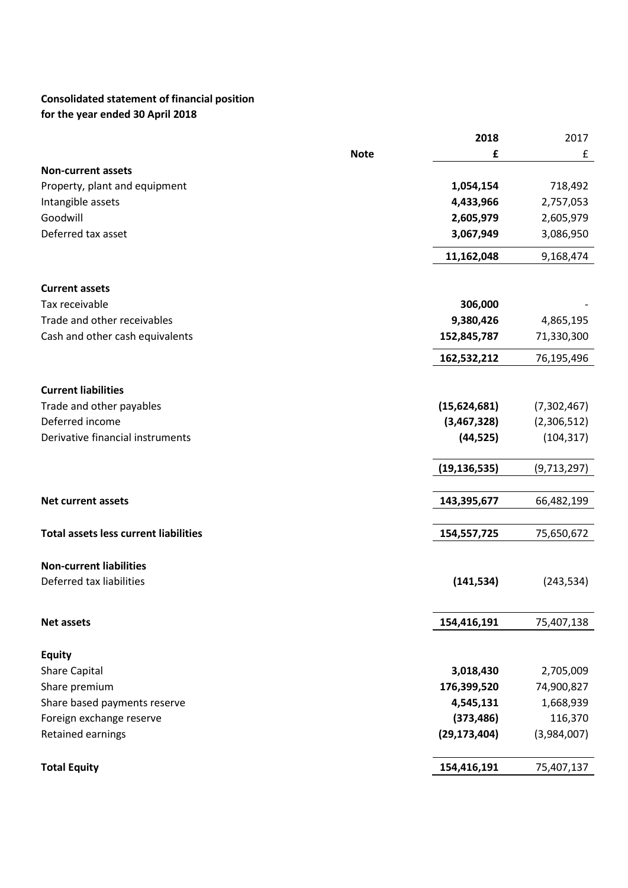# **Consolidated statement of financial position for the year ended 30 April 2018**

|                                              |             | 2018           | 2017        |
|----------------------------------------------|-------------|----------------|-------------|
|                                              | <b>Note</b> | £              | £           |
| <b>Non-current assets</b>                    |             |                |             |
| Property, plant and equipment                |             | 1,054,154      | 718,492     |
| Intangible assets                            |             | 4,433,966      | 2,757,053   |
| Goodwill                                     |             | 2,605,979      | 2,605,979   |
| Deferred tax asset                           |             | 3,067,949      | 3,086,950   |
|                                              |             | 11,162,048     | 9,168,474   |
| <b>Current assets</b>                        |             |                |             |
| Tax receivable                               |             | 306,000        |             |
| Trade and other receivables                  |             | 9,380,426      | 4,865,195   |
| Cash and other cash equivalents              |             | 152,845,787    | 71,330,300  |
|                                              |             |                |             |
|                                              |             | 162,532,212    | 76,195,496  |
| <b>Current liabilities</b>                   |             |                |             |
| Trade and other payables                     |             | (15,624,681)   | (7,302,467) |
| Deferred income                              |             | (3,467,328)    | (2,306,512) |
| Derivative financial instruments             |             | (44, 525)      | (104, 317)  |
|                                              |             |                |             |
|                                              |             | (19, 136, 535) | (9,713,297) |
| <b>Net current assets</b>                    |             | 143,395,677    | 66,482,199  |
|                                              |             |                |             |
| <b>Total assets less current liabilities</b> |             | 154,557,725    | 75,650,672  |
|                                              |             |                |             |
| <b>Non-current liabilities</b>               |             |                |             |
| Deferred tax liabilities                     |             | (141, 534)     | (243, 534)  |
|                                              |             |                |             |
| <b>Net assets</b>                            |             | 154,416,191    | 75,407,138  |
|                                              |             |                |             |
| <b>Equity</b>                                |             |                |             |
| <b>Share Capital</b>                         |             | 3,018,430      | 2,705,009   |
| Share premium                                |             | 176,399,520    | 74,900,827  |
| Share based payments reserve                 |             | 4,545,131      | 1,668,939   |
| Foreign exchange reserve                     |             | (373, 486)     | 116,370     |
| <b>Retained earnings</b>                     |             | (29, 173, 404) | (3,984,007) |
| <b>Total Equity</b>                          |             | 154,416,191    | 75,407,137  |
|                                              |             |                |             |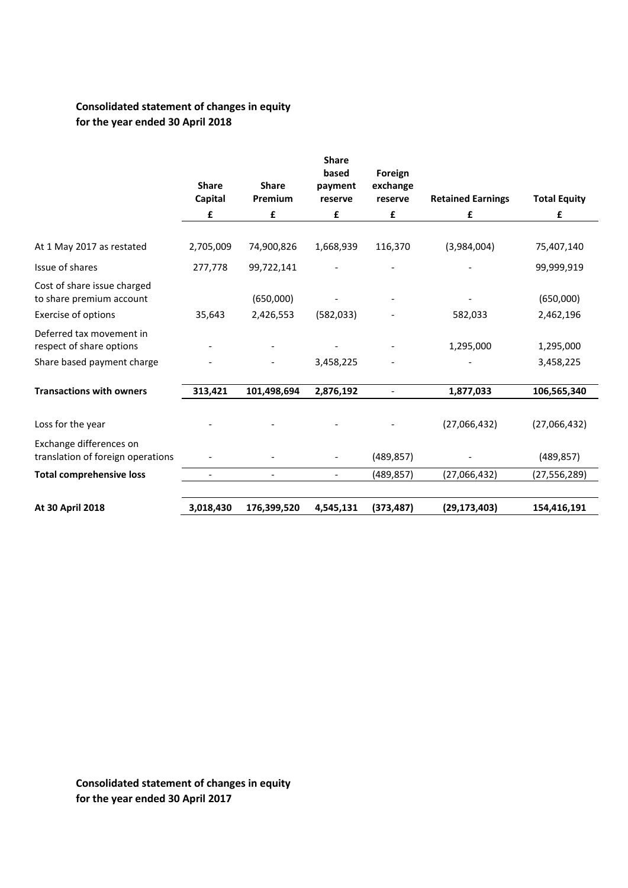# **Consolidated statement of changes in equity for the year ended 30 April 2018**

|                                                              | <b>Share</b><br>Capital | <b>Share</b><br>Premium  | <b>Share</b><br>based<br>payment<br>reserve | Foreign<br>exchange<br>reserve | <b>Retained Earnings</b> | <b>Total Equity</b> |
|--------------------------------------------------------------|-------------------------|--------------------------|---------------------------------------------|--------------------------------|--------------------------|---------------------|
|                                                              | £                       | £                        | £                                           | £                              | £                        | £                   |
| At 1 May 2017 as restated                                    | 2,705,009               | 74,900,826               | 1,668,939                                   | 116,370                        | (3,984,004)              | 75,407,140          |
| Issue of shares                                              | 277,778                 | 99,722,141               |                                             |                                |                          | 99,999,919          |
| Cost of share issue charged<br>to share premium account      |                         | (650,000)                |                                             |                                |                          | (650,000)           |
| Exercise of options                                          | 35,643                  | 2,426,553                | (582, 033)                                  |                                | 582,033                  | 2,462,196           |
| Deferred tax movement in<br>respect of share options         |                         |                          |                                             |                                | 1,295,000                | 1,295,000           |
| Share based payment charge                                   |                         |                          | 3,458,225                                   |                                |                          | 3,458,225           |
| <b>Transactions with owners</b>                              | 313,421                 | 101,498,694              | 2,876,192                                   | $\overline{\phantom{a}}$       | 1,877,033                | 106,565,340         |
| Loss for the year                                            |                         |                          |                                             |                                | (27,066,432)             | (27,066,432)        |
| Exchange differences on<br>translation of foreign operations |                         |                          |                                             | (489, 857)                     |                          | (489, 857)          |
| <b>Total comprehensive loss</b>                              |                         | $\overline{\phantom{a}}$ |                                             | (489, 857)                     | (27,066,432)             | (27, 556, 289)      |
| At 30 April 2018                                             | 3,018,430               | 176,399,520              | 4,545,131                                   | (373, 487)                     | (29, 173, 403)           | 154,416,191         |

**Consolidated statement of changes in equity for the year ended 30 April 2017**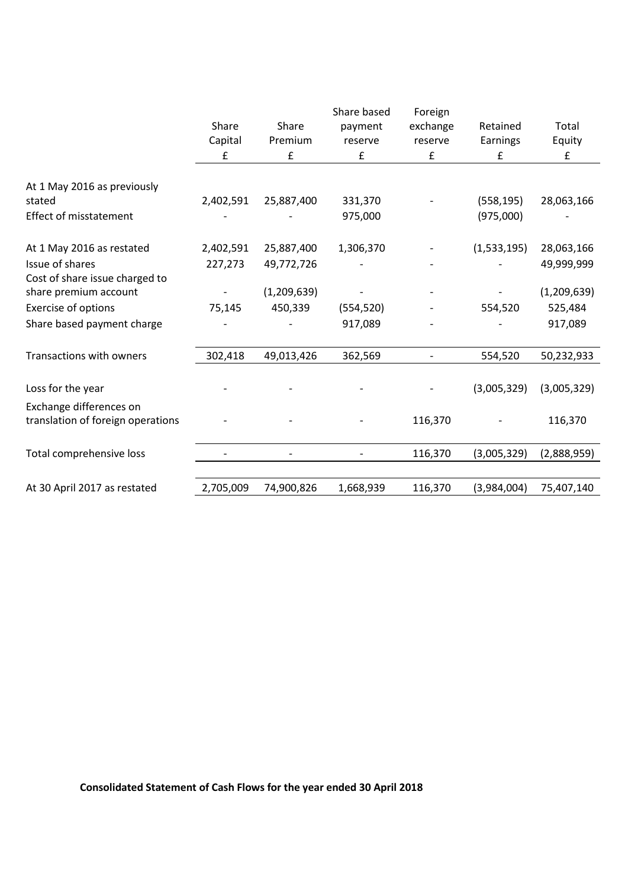|                                   |           |                    | Share based | Foreign            |             |             |
|-----------------------------------|-----------|--------------------|-------------|--------------------|-------------|-------------|
|                                   | Share     | Share              | payment     | exchange           | Retained    | Total       |
|                                   | Capital   | Premium            | reserve     | reserve            | Earnings    | Equity      |
|                                   | £         | $\pmb{\mathsf{f}}$ | £           | $\pmb{\mathsf{f}}$ | £           | ${\bf f}$   |
|                                   |           |                    |             |                    |             |             |
| At 1 May 2016 as previously       |           |                    |             |                    |             |             |
| stated                            | 2,402,591 | 25,887,400         | 331,370     |                    | (558, 195)  | 28,063,166  |
| <b>Effect of misstatement</b>     |           |                    | 975,000     |                    | (975,000)   |             |
| At 1 May 2016 as restated         | 2,402,591 | 25,887,400         | 1,306,370   |                    | (1,533,195) | 28,063,166  |
| Issue of shares                   | 227,273   | 49,772,726         |             |                    |             | 49,999,999  |
| Cost of share issue charged to    |           |                    |             |                    |             |             |
| share premium account             |           | (1,209,639)        |             |                    |             | (1,209,639) |
| Exercise of options               | 75,145    | 450,339            | (554, 520)  |                    | 554,520     | 525,484     |
| Share based payment charge        |           |                    | 917,089     |                    |             | 917,089     |
| Transactions with owners          | 302,418   | 49,013,426         | 362,569     |                    | 554,520     | 50,232,933  |
|                                   |           |                    |             |                    |             |             |
| Loss for the year                 |           |                    |             |                    | (3,005,329) | (3,005,329) |
| Exchange differences on           |           |                    |             |                    |             |             |
| translation of foreign operations |           |                    |             | 116,370            |             | 116,370     |
|                                   |           |                    |             |                    |             |             |
| Total comprehensive loss          |           |                    |             | 116,370            | (3,005,329) | (2,888,959) |
|                                   |           |                    |             |                    |             |             |
| At 30 April 2017 as restated      | 2,705,009 | 74,900,826         | 1,668,939   | 116,370            | (3,984,004) | 75,407,140  |

**Consolidated Statement of Cash Flows for the year ended 30 April 2018**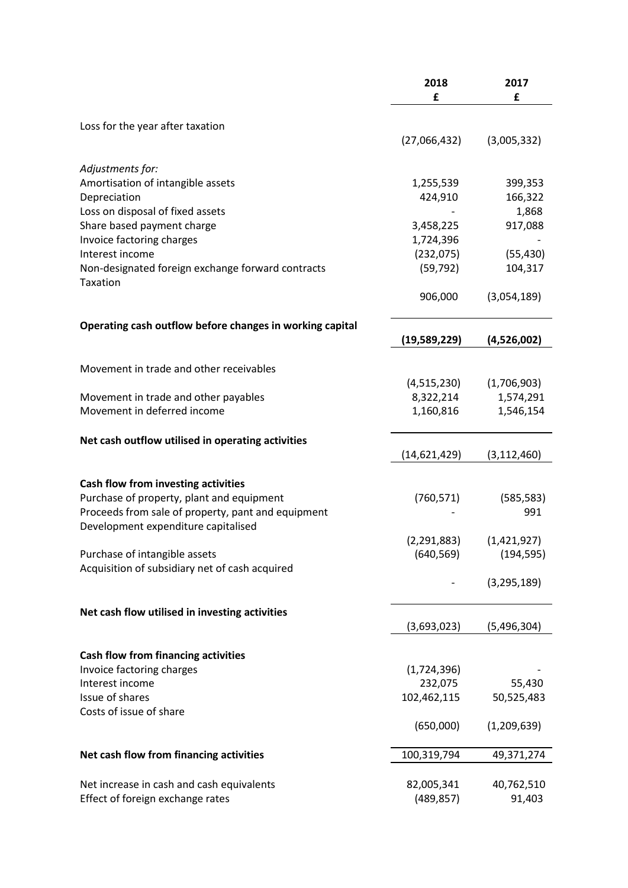|                                                          | 2018          | 2017          |
|----------------------------------------------------------|---------------|---------------|
|                                                          | £             | £             |
|                                                          |               |               |
| Loss for the year after taxation                         |               |               |
|                                                          | (27,066,432)  | (3,005,332)   |
|                                                          |               |               |
| Adjustments for:                                         |               |               |
| Amortisation of intangible assets                        | 1,255,539     | 399,353       |
| Depreciation                                             | 424,910       | 166,322       |
| Loss on disposal of fixed assets                         |               | 1,868         |
| Share based payment charge                               | 3,458,225     | 917,088       |
| Invoice factoring charges                                | 1,724,396     |               |
| Interest income                                          | (232,075)     | (55, 430)     |
| Non-designated foreign exchange forward contracts        | (59, 792)     | 104,317       |
| Taxation                                                 |               |               |
|                                                          | 906,000       | (3,054,189)   |
|                                                          |               |               |
| Operating cash outflow before changes in working capital |               |               |
|                                                          | (19,589,229)  | (4,526,002)   |
|                                                          |               |               |
| Movement in trade and other receivables                  |               |               |
|                                                          | (4,515,230)   | (1,706,903)   |
| Movement in trade and other payables                     | 8,322,214     | 1,574,291     |
| Movement in deferred income                              | 1,160,816     | 1,546,154     |
|                                                          |               |               |
| Net cash outflow utilised in operating activities        |               |               |
|                                                          | (14,621,429)  | (3, 112, 460) |
|                                                          |               |               |
| Cash flow from investing activities                      |               |               |
| Purchase of property, plant and equipment                | (760, 571)    | (585, 583)    |
| Proceeds from sale of property, pant and equipment       |               | 991           |
| Development expenditure capitalised                      |               |               |
|                                                          | (2, 291, 883) | (1,421,927)   |
| Purchase of intangible assets                            | (640, 569)    | (194, 595)    |
| Acquisition of subsidiary net of cash acquired           |               |               |
|                                                          |               | (3, 295, 189) |
|                                                          |               |               |
| Net cash flow utilised in investing activities           |               |               |
|                                                          | (3,693,023)   | (5,496,304)   |
|                                                          |               |               |
| <b>Cash flow from financing activities</b>               |               |               |
| Invoice factoring charges                                | (1,724,396)   |               |
| Interest income                                          | 232,075       | 55,430        |
| Issue of shares                                          | 102,462,115   | 50,525,483    |
| Costs of issue of share                                  |               |               |
|                                                          | (650,000)     | (1, 209, 639) |
|                                                          |               |               |
| Net cash flow from financing activities                  | 100,319,794   | 49,371,274    |
|                                                          |               |               |
| Net increase in cash and cash equivalents                | 82,005,341    | 40,762,510    |
| Effect of foreign exchange rates                         | (489, 857)    | 91,403        |
|                                                          |               |               |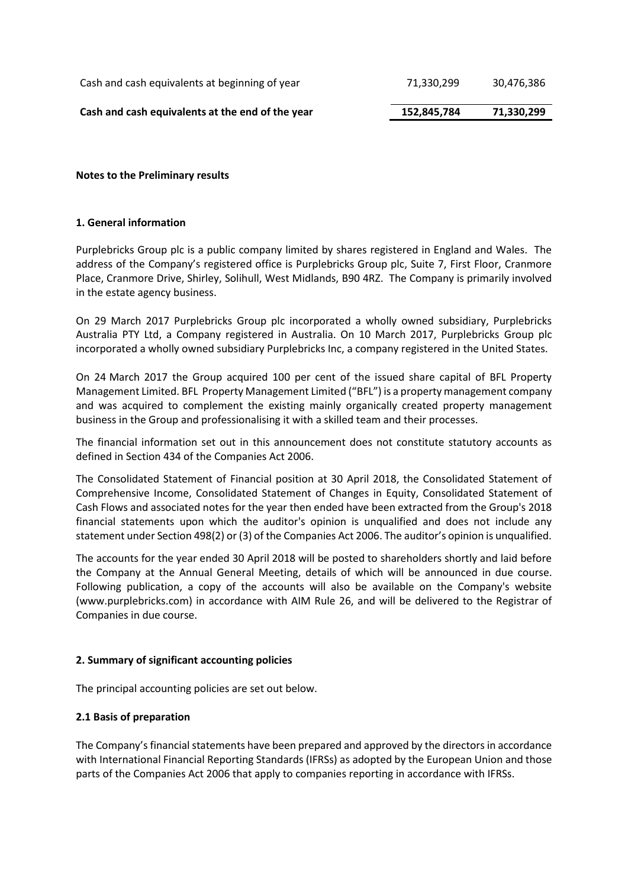| Cash and cash equivalents at the end of the year | 152,845,784 | 71,330,299 |
|--------------------------------------------------|-------------|------------|
| Cash and cash equivalents at beginning of year   | 71.330.299  | 30,476,386 |

**Notes to the Preliminary results**

# **1. General information**

Purplebricks Group plc is a public company limited by shares registered in England and Wales. The address of the Company's registered office is Purplebricks Group plc, Suite 7, First Floor, Cranmore Place, Cranmore Drive, Shirley, Solihull, West Midlands, B90 4RZ. The Company is primarily involved in the estate agency business.

On 29 March 2017 Purplebricks Group plc incorporated a wholly owned subsidiary, Purplebricks Australia PTY Ltd, a Company registered in Australia. On 10 March 2017, Purplebricks Group plc incorporated a wholly owned subsidiary Purplebricks Inc, a company registered in the United States.

On 24 March 2017 the Group acquired 100 per cent of the issued share capital of BFL Property Management Limited. BFL Property Management Limited ("BFL") is a property management company and was acquired to complement the existing mainly organically created property management business in the Group and professionalising it with a skilled team and their processes.

The financial information set out in this announcement does not constitute statutory accounts as defined in Section 434 of the Companies Act 2006.

The Consolidated Statement of Financial position at 30 April 2018, the Consolidated Statement of Comprehensive Income, Consolidated Statement of Changes in Equity, Consolidated Statement of Cash Flows and associated notes for the year then ended have been extracted from the Group's 2018 financial statements upon which the auditor's opinion is unqualified and does not include any statement under Section 498(2) or (3) of the Companies Act 2006. The auditor's opinion is unqualified.

The accounts for the year ended 30 April 2018 will be posted to shareholders shortly and laid before the Company at the Annual General Meeting, details of which will be announced in due course. Following publication, a copy of the accounts will also be available on the Company's website (www.purplebricks.com) in accordance with AIM Rule 26, and will be delivered to the Registrar of Companies in due course.

# **2. Summary of significant accounting policies**

The principal accounting policies are set out below.

# **2.1 Basis of preparation**

The Company's financial statements have been prepared and approved by the directors in accordance with International Financial Reporting Standards (IFRSs) as adopted by the European Union and those parts of the Companies Act 2006 that apply to companies reporting in accordance with IFRSs.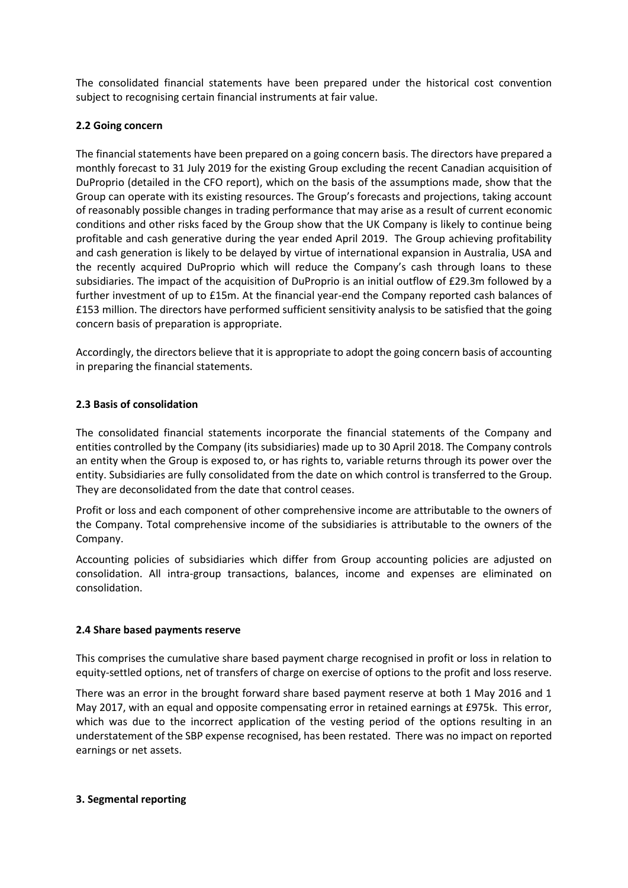The consolidated financial statements have been prepared under the historical cost convention subject to recognising certain financial instruments at fair value.

### **2.2 Going concern**

The financial statements have been prepared on a going concern basis. The directors have prepared a monthly forecast to 31 July 2019 for the existing Group excluding the recent Canadian acquisition of DuProprio (detailed in the CFO report), which on the basis of the assumptions made, show that the Group can operate with its existing resources. The Group's forecasts and projections, taking account of reasonably possible changes in trading performance that may arise as a result of current economic conditions and other risks faced by the Group show that the UK Company is likely to continue being profitable and cash generative during the year ended April 2019. The Group achieving profitability and cash generation is likely to be delayed by virtue of international expansion in Australia, USA and the recently acquired DuProprio which will reduce the Company's cash through loans to these subsidiaries. The impact of the acquisition of DuProprio is an initial outflow of £29.3m followed by a further investment of up to £15m. At the financial year-end the Company reported cash balances of £153 million. The directors have performed sufficient sensitivity analysis to be satisfied that the going concern basis of preparation is appropriate.

Accordingly, the directors believe that it is appropriate to adopt the going concern basis of accounting in preparing the financial statements.

# **2.3 Basis of consolidation**

The consolidated financial statements incorporate the financial statements of the Company and entities controlled by the Company (its subsidiaries) made up to 30 April 2018. The Company controls an entity when the Group is exposed to, or has rights to, variable returns through its power over the entity. Subsidiaries are fully consolidated from the date on which control is transferred to the Group. They are deconsolidated from the date that control ceases.

Profit or loss and each component of other comprehensive income are attributable to the owners of the Company. Total comprehensive income of the subsidiaries is attributable to the owners of the Company.

Accounting policies of subsidiaries which differ from Group accounting policies are adjusted on consolidation. All intra-group transactions, balances, income and expenses are eliminated on consolidation.

#### **2.4 Share based payments reserve**

This comprises the cumulative share based payment charge recognised in profit or loss in relation to equity-settled options, net of transfers of charge on exercise of options to the profit and loss reserve.

There was an error in the brought forward share based payment reserve at both 1 May 2016 and 1 May 2017, with an equal and opposite compensating error in retained earnings at £975k. This error, which was due to the incorrect application of the vesting period of the options resulting in an understatement of the SBP expense recognised, has been restated. There was no impact on reported earnings or net assets.

#### **3. Segmental reporting**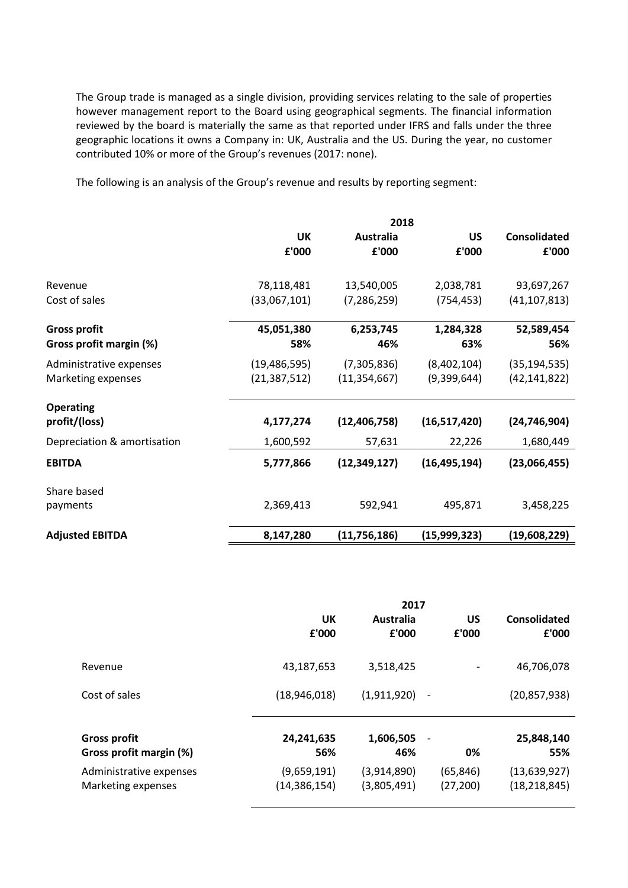The Group trade is managed as a single division, providing services relating to the sale of properties however management report to the Board using geographical segments. The financial information reviewed by the board is materially the same as that reported under IFRS and falls under the three geographic locations it owns a Company in: UK, Australia and the US. During the year, no customer contributed 10% or more of the Group's revenues (2017: none).

The following is an analysis of the Group's revenue and results by reporting segment:

|                             | 2018           |                |                |                     |  |  |
|-----------------------------|----------------|----------------|----------------|---------------------|--|--|
|                             | UK             | Australia      | <b>US</b>      | <b>Consolidated</b> |  |  |
|                             | £'000          | £'000          | £'000          | £'000               |  |  |
| Revenue                     | 78,118,481     | 13,540,005     | 2,038,781      | 93,697,267          |  |  |
| Cost of sales               | (33,067,101)   | (7, 286, 259)  | (754, 453)     | (41, 107, 813)      |  |  |
| <b>Gross profit</b>         | 45,051,380     | 6,253,745      | 1,284,328      | 52,589,454          |  |  |
| Gross profit margin (%)     | 58%            | 46%            | 63%            | 56%                 |  |  |
| Administrative expenses     | (19, 486, 595) | (7,305,836)    | (8,402,104)    | (35, 194, 535)      |  |  |
| Marketing expenses          | (21, 387, 512) | (11, 354, 667) | (9,399,644)    | (42, 141, 822)      |  |  |
| <b>Operating</b>            |                |                |                |                     |  |  |
| profit/(loss)               | 4,177,274      | (12, 406, 758) | (16,517,420)   | (24, 746, 904)      |  |  |
| Depreciation & amortisation | 1,600,592      | 57,631         | 22,226         | 1,680,449           |  |  |
| <b>EBITDA</b>               | 5,777,866      | (12, 349, 127) | (16, 495, 194) | (23,066,455)        |  |  |
| Share based                 |                |                |                |                     |  |  |
| payments                    | 2,369,413      | 592,941        | 495,871        | 3,458,225           |  |  |
| <b>Adjusted EBITDA</b>      | 8,147,280      | (11,756,186)   | (15,999,323)   | (19,608,229)        |  |  |

|                         | 2017           |             |                          |                |
|-------------------------|----------------|-------------|--------------------------|----------------|
|                         | UK             | Australia   | <b>US</b>                | Consolidated   |
|                         | £'000          | £'000       | £'000                    | £'000          |
| Revenue                 | 43,187,653     | 3,518,425   | $\overline{\phantom{a}}$ | 46,706,078     |
| Cost of sales           | (18,946,018)   | (1,911,920) | $\overline{\phantom{a}}$ | (20, 857, 938) |
| <b>Gross profit</b>     | 24,241,635     | 1,606,505   | $\overline{\phantom{a}}$ | 25,848,140     |
| Gross profit margin (%) | 56%            | 46%         | 0%                       | 55%            |
| Administrative expenses | (9,659,191)    | (3,914,890) | (65, 846)                | (13,639,927)   |
| Marketing expenses      | (14, 386, 154) | (3,805,491) | (27, 200)                | (18, 218, 845) |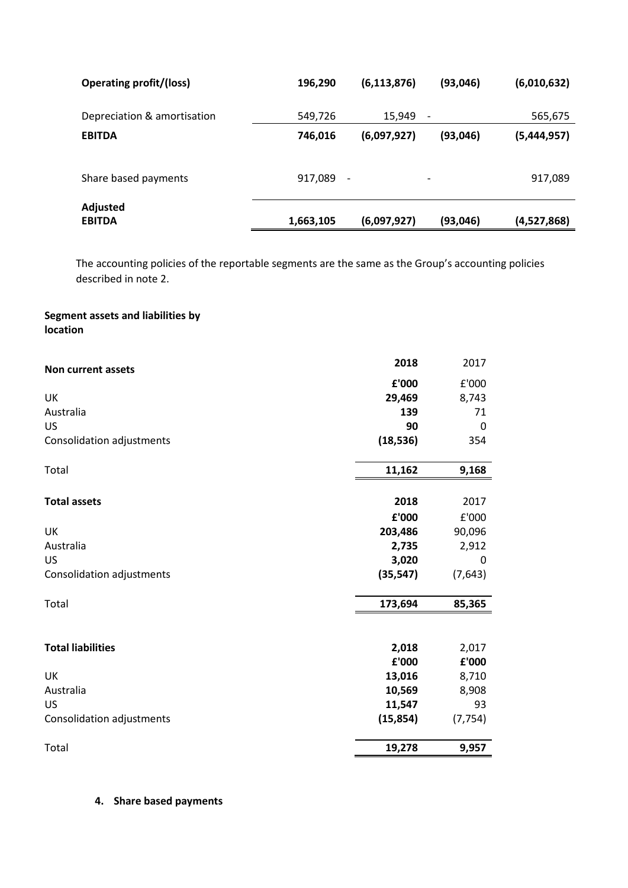| <b>Operating profit/(loss)</b> | 196,290   | (6, 113, 876)            | (93, 046)                | (6,010,632) |
|--------------------------------|-----------|--------------------------|--------------------------|-------------|
| Depreciation & amortisation    | 549,726   | 15,949                   | $\overline{\phantom{a}}$ | 565,675     |
| <b>EBITDA</b>                  | 746,016   | (6,097,927)              | (93,046)                 | (5,444,957) |
| Share based payments           | 917,089   | $\overline{\phantom{a}}$ | -                        | 917,089     |
| Adjusted<br><b>EBITDA</b>      | 1,663,105 | (6,097,927)              | (93,046)                 | (4,527,868) |

The accounting policies of the reportable segments are the same as the Group's accounting policies described in note 2.

# **Segment assets and liabilities by location**

| <b>Non current assets</b> | 2018      | 2017     |
|---------------------------|-----------|----------|
|                           | £'000     | £'000    |
| UK                        | 29,469    | 8,743    |
| Australia                 | 139       | 71       |
| US                        | 90        | 0        |
| Consolidation adjustments | (18, 536) | 354      |
| Total                     | 11,162    | 9,168    |
| <b>Total assets</b>       | 2018      | 2017     |
|                           | £'000     | £'000    |
| UK                        | 203,486   | 90,096   |
| Australia                 | 2,735     | 2,912    |
| <b>US</b>                 | 3,020     | 0        |
| Consolidation adjustments | (35, 547) | (7,643)  |
| Total                     | 173,694   | 85,365   |
| <b>Total liabilities</b>  | 2,018     | 2,017    |
|                           | £'000     | £'000    |
| UK                        | 13,016    | 8,710    |
| Australia                 | 10,569    | 8,908    |
| US                        | 11,547    | 93       |
| Consolidation adjustments | (15, 854) | (7, 754) |
| Total                     | 19,278    | 9,957    |

# **4. Share based payments**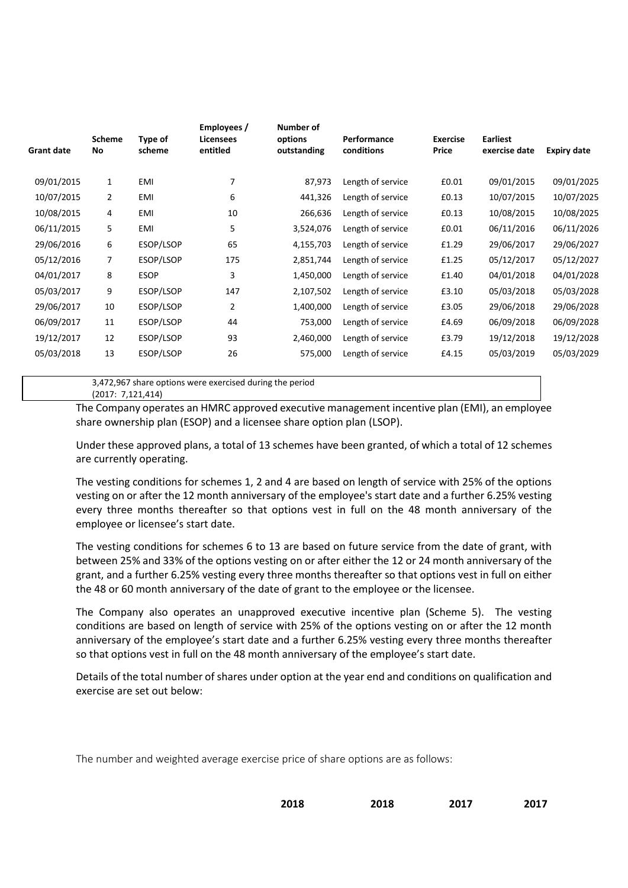| <b>Grant date</b> | <b>Scheme</b><br>No | Type of<br>scheme | Employees /<br><b>Licensees</b><br>entitled | Number of<br>options<br>outstanding | Performance<br>conditions | <b>Exercise</b><br>Price | <b>Earliest</b><br>exercise date | Expiry date |
|-------------------|---------------------|-------------------|---------------------------------------------|-------------------------------------|---------------------------|--------------------------|----------------------------------|-------------|
|                   |                     |                   |                                             |                                     |                           |                          |                                  |             |
| 09/01/2015        | $\mathbf{1}$        | EMI               | 7                                           | 87,973                              | Length of service         | £0.01                    | 09/01/2015                       | 09/01/2025  |
| 10/07/2015        | $\overline{2}$      | EMI               | 6                                           | 441,326                             | Length of service         | £0.13                    | 10/07/2015                       | 10/07/2025  |
| 10/08/2015        | 4                   | EMI               | 10                                          | 266,636                             | Length of service         | £0.13                    | 10/08/2015                       | 10/08/2025  |
| 06/11/2015        | 5                   | EMI               | 5                                           | 3,524,076                           | Length of service         | £0.01                    | 06/11/2016                       | 06/11/2026  |
| 29/06/2016        | 6                   | ESOP/LSOP         | 65                                          | 4,155,703                           | Length of service         | £1.29                    | 29/06/2017                       | 29/06/2027  |
| 05/12/2016        | 7                   | ESOP/LSOP         | 175                                         | 2,851,744                           | Length of service         | £1.25                    | 05/12/2017                       | 05/12/2027  |
| 04/01/2017        | 8                   | <b>ESOP</b>       | 3                                           | 1,450,000                           | Length of service         | £1.40                    | 04/01/2018                       | 04/01/2028  |
| 05/03/2017        | 9                   | ESOP/LSOP         | 147                                         | 2,107,502                           | Length of service         | £3.10                    | 05/03/2018                       | 05/03/2028  |
| 29/06/2017        | 10                  | ESOP/LSOP         | $\overline{2}$                              | 1,400,000                           | Length of service         | £3.05                    | 29/06/2018                       | 29/06/2028  |
| 06/09/2017        | 11                  | ESOP/LSOP         | 44                                          | 753,000                             | Length of service         | £4.69                    | 06/09/2018                       | 06/09/2028  |
| 19/12/2017        | 12                  | ESOP/LSOP         | 93                                          | 2,460,000                           | Length of service         | £3.79                    | 19/12/2018                       | 19/12/2028  |
| 05/03/2018        | 13                  | ESOP/LSOP         | 26                                          | 575,000                             | Length of service         | £4.15                    | 05/03/2019                       | 05/03/2029  |
|                   |                     |                   |                                             |                                     |                           |                          |                                  |             |

3,472,967 share options were exercised during the period (2017: 7,121,414)

The Company operates an HMRC approved executive management incentive plan (EMI), an employee share ownership plan (ESOP) and a licensee share option plan (LSOP).

Under these approved plans, a total of 13 schemes have been granted, of which a total of 12 schemes are currently operating.

The vesting conditions for schemes 1, 2 and 4 are based on length of service with 25% of the options vesting on or after the 12 month anniversary of the employee's start date and a further 6.25% vesting every three months thereafter so that options vest in full on the 48 month anniversary of the employee or licensee's start date.

The vesting conditions for schemes 6 to 13 are based on future service from the date of grant, with between 25% and 33% of the options vesting on or after either the 12 or 24 month anniversary of the grant, and a further 6.25% vesting every three months thereafter so that options vest in full on either the 48 or 60 month anniversary of the date of grant to the employee or the licensee.

The Company also operates an unapproved executive incentive plan (Scheme 5). The vesting conditions are based on length of service with 25% of the options vesting on or after the 12 month anniversary of the employee's start date and a further 6.25% vesting every three months thereafter so that options vest in full on the 48 month anniversary of the employee's start date.

Details of the total number of shares under option at the year end and conditions on qualification and exercise are set out below:

The number and weighted average exercise price of share options are as follows: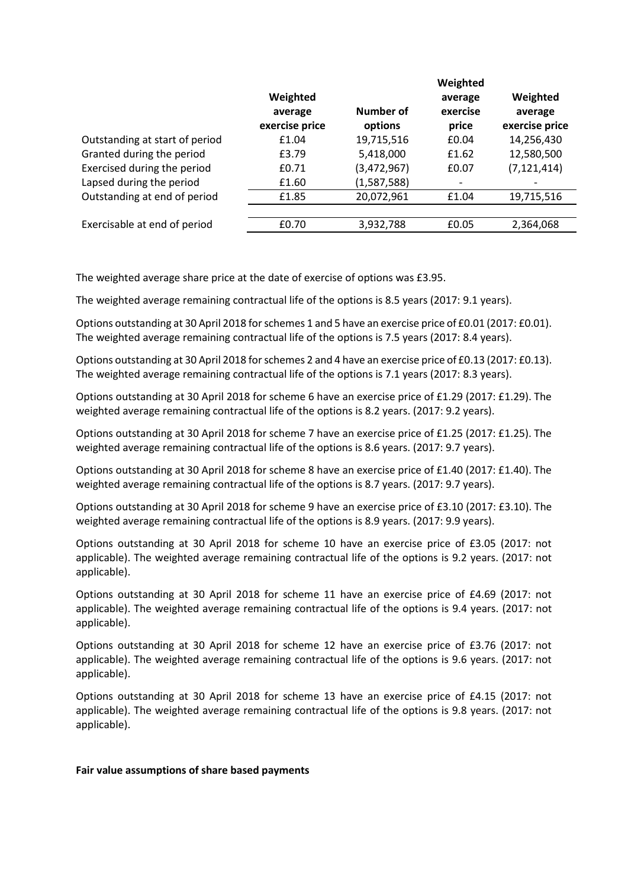|                                |                                       |                      | Weighted                     |                                       |
|--------------------------------|---------------------------------------|----------------------|------------------------------|---------------------------------------|
|                                | Weighted<br>average<br>exercise price | Number of<br>options | average<br>exercise<br>price | Weighted<br>average<br>exercise price |
| Outstanding at start of period | £1.04                                 | 19,715,516           | £0.04                        | 14,256,430                            |
| Granted during the period      | £3.79                                 | 5,418,000            | £1.62                        | 12,580,500                            |
| Exercised during the period    | £0.71                                 | (3,472,967)          | £0.07                        | (7, 121, 414)                         |
| Lapsed during the period       | £1.60                                 | (1,587,588)          | $\overline{\phantom{a}}$     |                                       |
| Outstanding at end of period   | £1.85                                 | 20,072,961           | £1.04                        | 19,715,516                            |
|                                |                                       |                      |                              |                                       |
| Exercisable at end of period   | £0.70                                 | 3,932,788            | £0.05                        | 2,364,068                             |

The weighted average share price at the date of exercise of options was £3.95.

The weighted average remaining contractual life of the options is 8.5 years (2017: 9.1 years).

Options outstanding at 30 April 2018 for schemes 1 and 5 have an exercise price of £0.01 (2017: £0.01). The weighted average remaining contractual life of the options is 7.5 years (2017: 8.4 years).

Options outstanding at 30 April 2018 for schemes 2 and 4 have an exercise price of £0.13 (2017: £0.13). The weighted average remaining contractual life of the options is 7.1 years (2017: 8.3 years).

Options outstanding at 30 April 2018 for scheme 6 have an exercise price of £1.29 (2017: £1.29). The weighted average remaining contractual life of the options is 8.2 years. (2017: 9.2 years).

Options outstanding at 30 April 2018 for scheme 7 have an exercise price of £1.25 (2017: £1.25). The weighted average remaining contractual life of the options is 8.6 years. (2017: 9.7 years).

Options outstanding at 30 April 2018 for scheme 8 have an exercise price of £1.40 (2017: £1.40). The weighted average remaining contractual life of the options is 8.7 years. (2017: 9.7 years).

Options outstanding at 30 April 2018 for scheme 9 have an exercise price of £3.10 (2017: £3.10). The weighted average remaining contractual life of the options is 8.9 years. (2017: 9.9 years).

Options outstanding at 30 April 2018 for scheme 10 have an exercise price of £3.05 (2017: not applicable). The weighted average remaining contractual life of the options is 9.2 years. (2017: not applicable).

Options outstanding at 30 April 2018 for scheme 11 have an exercise price of £4.69 (2017: not applicable). The weighted average remaining contractual life of the options is 9.4 years. (2017: not applicable).

Options outstanding at 30 April 2018 for scheme 12 have an exercise price of £3.76 (2017: not applicable). The weighted average remaining contractual life of the options is 9.6 years. (2017: not applicable).

Options outstanding at 30 April 2018 for scheme 13 have an exercise price of £4.15 (2017: not applicable). The weighted average remaining contractual life of the options is 9.8 years. (2017: not applicable).

#### **Fair value assumptions of share based payments**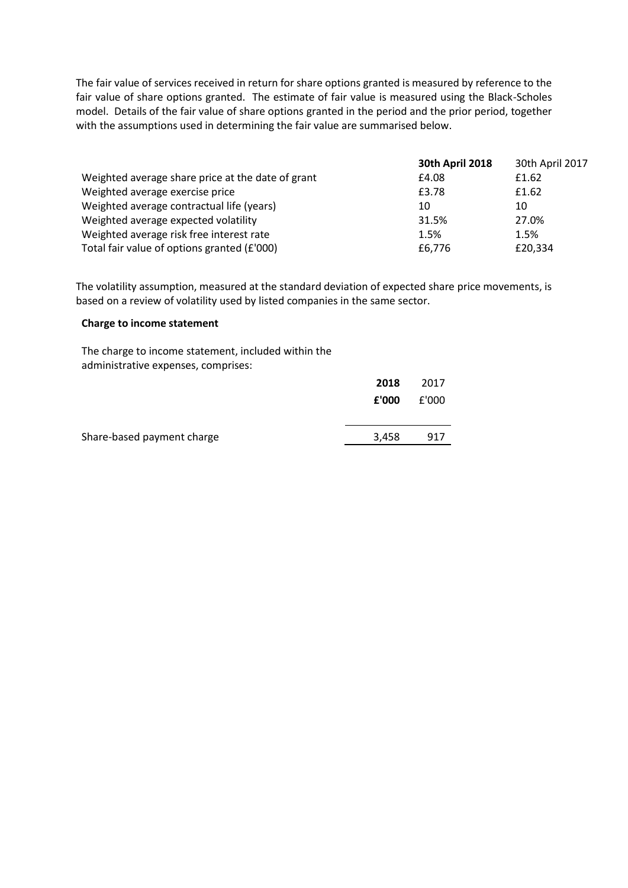The fair value of services received in return for share options granted is measured by reference to the fair value of share options granted. The estimate of fair value is measured using the Black-Scholes model. Details of the fair value of share options granted in the period and the prior period, together with the assumptions used in determining the fair value are summarised below.

|                                                   | <b>30th April 2018</b> | 30th April 2017 |
|---------------------------------------------------|------------------------|-----------------|
| Weighted average share price at the date of grant | £4.08                  | £1.62           |
| Weighted average exercise price                   | £3.78                  | £1.62           |
| Weighted average contractual life (years)         | 10                     | 10              |
| Weighted average expected volatility              | 31.5%                  | 27.0%           |
| Weighted average risk free interest rate          | 1.5%                   | 1.5%            |
| Total fair value of options granted (£'000)       | £6,776                 | £20,334         |

The volatility assumption, measured at the standard deviation of expected share price movements, is based on a review of volatility used by listed companies in the same sector.

#### **Charge to income statement**

The charge to income statement, included within the administrative expenses, comprises:

|                            | 2018  | 2017  |
|----------------------------|-------|-------|
|                            | £'000 | f'000 |
|                            |       |       |
| Share-based payment charge | 3,458 | 917   |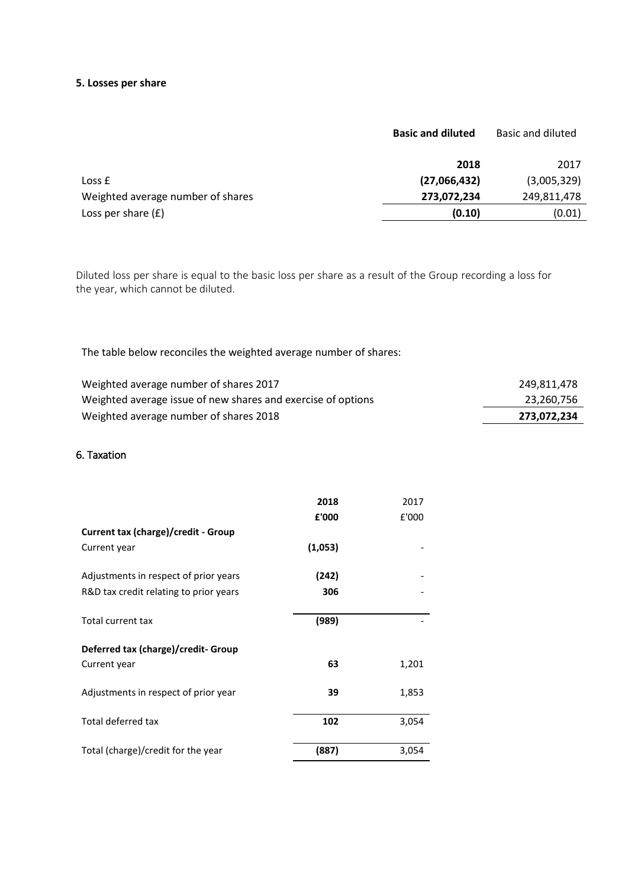# **5. Losses per share**

|                                   | <b>Basic and diluted</b> | Basic and diluted |
|-----------------------------------|--------------------------|-------------------|
|                                   | 2018                     | 2017              |
| Loss <b>f</b>                     | (27,066,432)             | (3,005,329)       |
| Weighted average number of shares | 273,072,234              | 249,811,478       |
| Loss per share $(f)$              | (0.10)                   | (0.01)            |
|                                   |                          |                   |

Diluted loss per share is equal to the basic loss per share as a result of the Group recording a loss for the year, which cannot be diluted.

The table below reconciles the weighted average number of shares:

| Weighted average number of shares 2017                       | 249.811.478 |
|--------------------------------------------------------------|-------------|
| Weighted average issue of new shares and exercise of options | 23.260.756  |
| Weighted average number of shares 2018                       | 273.072.234 |

# 6. Taxation

|                                            | 2018    | 2017  |
|--------------------------------------------|---------|-------|
|                                            | £'000   | £'000 |
| <b>Current tax (charge)/credit - Group</b> |         |       |
| Current year                               | (1,053) |       |
| Adjustments in respect of prior years      | (242)   |       |
| R&D tax credit relating to prior years     | 306     |       |
| Total current tax                          | (989)   |       |
| Deferred tax (charge)/credit- Group        |         |       |
| Current year                               | 63      | 1,201 |
| Adjustments in respect of prior year       | 39      | 1,853 |
| Total deferred tax                         | 102     | 3,054 |
| Total (charge)/credit for the year         | (887)   | 3,054 |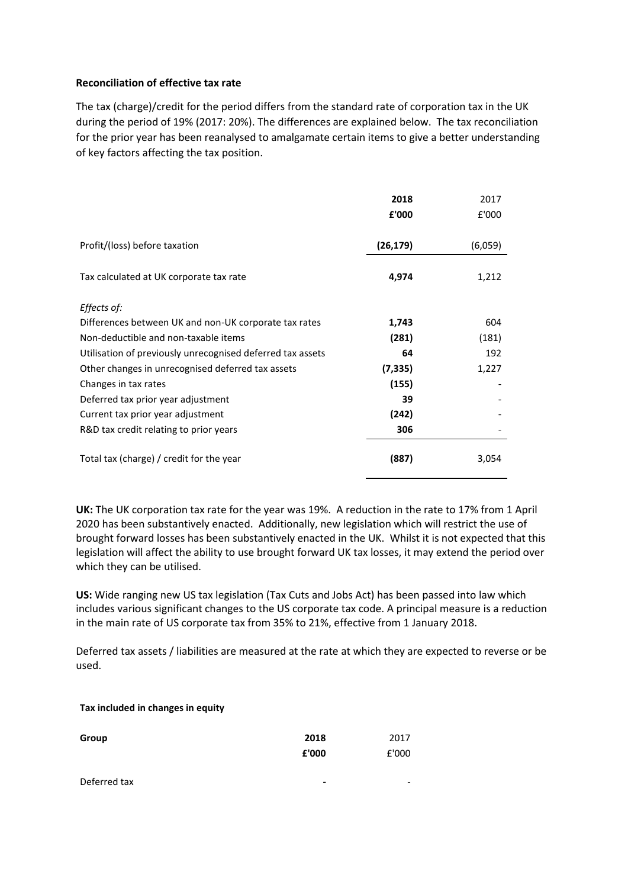# **Reconciliation of effective tax rate**

The tax (charge)/credit for the period differs from the standard rate of corporation tax in the UK during the period of 19% (2017: 20%). The differences are explained below. The tax reconciliation for the prior year has been reanalysed to amalgamate certain items to give a better understanding of key factors affecting the tax position.

|                                                            | 2018      | 2017    |
|------------------------------------------------------------|-----------|---------|
|                                                            | £'000     | £'000   |
| Profit/(loss) before taxation                              | (26, 179) | (6,059) |
| Tax calculated at UK corporate tax rate                    | 4,974     | 1,212   |
| Effects of:                                                |           |         |
| Differences between UK and non-UK corporate tax rates      | 1,743     | 604     |
| Non-deductible and non-taxable items                       | (281)     | (181)   |
| Utilisation of previously unrecognised deferred tax assets | 64        | 192     |
| Other changes in unrecognised deferred tax assets          | (7, 335)  | 1,227   |
| Changes in tax rates                                       | (155)     |         |
| Deferred tax prior year adjustment                         | 39        |         |
| Current tax prior year adjustment                          | (242)     |         |
| R&D tax credit relating to prior years                     | 306       |         |
| Total tax (charge) / credit for the year                   | (887)     | 3,054   |

**UK:** The UK corporation tax rate for the year was 19%. A reduction in the rate to 17% from 1 April 2020 has been substantively enacted. Additionally, new legislation which will restrict the use of brought forward losses has been substantively enacted in the UK. Whilst it is not expected that this legislation will affect the ability to use brought forward UK tax losses, it may extend the period over which they can be utilised.

**US:** Wide ranging new US tax legislation (Tax Cuts and Jobs Act) has been passed into law which includes various significant changes to the US corporate tax code. A principal measure is a reduction in the main rate of US corporate tax from 35% to 21%, effective from 1 January 2018.

Deferred tax assets / liabilities are measured at the rate at which they are expected to reverse or be used.

#### **Tax included in changes in equity**

| Group        | 2018  | 2017  |
|--------------|-------|-------|
|              | £'000 | £'000 |
| Deferred tax | ۰     | -     |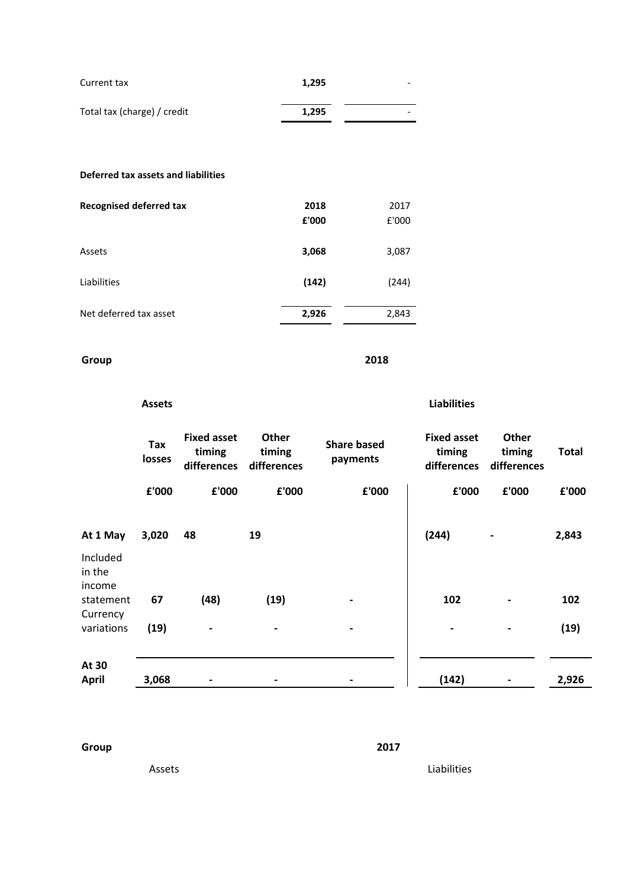| Current tax                         | 1,295 |      |
|-------------------------------------|-------|------|
| Total tax (charge) / credit         | 1,295 |      |
|                                     |       |      |
| Deferred tax assets and liabilities |       |      |
| Recognised deferred tax             | 2018  | 2017 |

| <b>INCLUSITIOU ACICITEM TOV</b> | LUIU<br>£'000 | 2011<br>£'000 |
|---------------------------------|---------------|---------------|
| Assets                          | 3,068         | 3,087         |
| Liabilities                     | (142)         | (244)         |
| Net deferred tax asset          | 2,926         | 2,843         |

# **Group 2018**

|                              | <b>Assets</b> |                                             |                                       |                                | <b>Liabilities</b>                          |                                       |              |
|------------------------------|---------------|---------------------------------------------|---------------------------------------|--------------------------------|---------------------------------------------|---------------------------------------|--------------|
|                              | Tax<br>losses | <b>Fixed asset</b><br>timing<br>differences | <b>Other</b><br>timing<br>differences | <b>Share based</b><br>payments | <b>Fixed asset</b><br>timing<br>differences | <b>Other</b><br>timing<br>differences | <b>Total</b> |
|                              | £'000         | £'000                                       | £'000                                 | £'000                          | £'000                                       | £'000                                 | £'000        |
| At 1 May                     | 3,020         | 48                                          | 19                                    |                                | (244)                                       | $\hbox{--}$                           | 2,843        |
| Included<br>in the<br>income |               |                                             |                                       |                                |                                             |                                       |              |
| statement                    | 67            | (48)                                        | (19)                                  |                                | 102                                         | $\blacksquare$                        | 102          |
| Currency<br>variations       | (19)          |                                             |                                       |                                |                                             |                                       | (19)         |
| At 30<br><b>April</b>        | 3,068         |                                             | $\overline{a}$                        |                                | (142)                                       |                                       | 2,926        |

**Group 2017**

Assets **Liabilities**